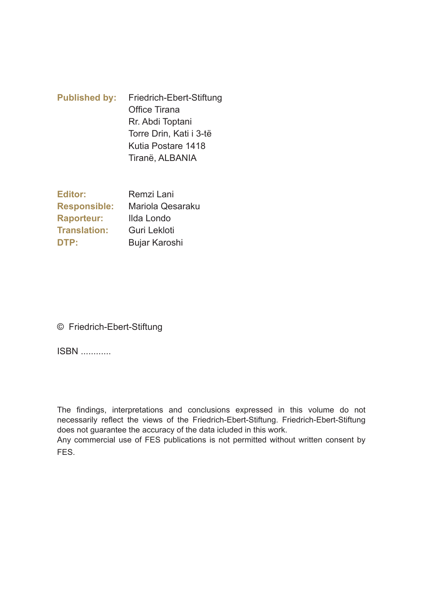**Published by:** Friedrich-Ebert-Stiftung Office Tirana Rr. Abdi Toptani Torre Drin, Kati i 3-të Kutia Postare 1418 Tiranë, ALBANIA

| Editor:             | Remzi Lani       |
|---------------------|------------------|
| <b>Responsible:</b> | Mariola Qesaraku |
| <b>Raporteur:</b>   | Ilda Londo       |
| <b>Translation:</b> | Guri Lekloti     |
| DTP:                | Bujar Karoshi    |

© Friedrich-Ebert-Stiftung

ISBN ............

The findings, interpretations and conclusions expressed in this volume do not necessarily reflect the views of the Friedrich-Ebert-Stiftung. Friedrich-Ebert-Stiftung does not guarantee the accuracy of the data icluded in this work.

Any commercial use of FES publications is not permitted without written consent by FES.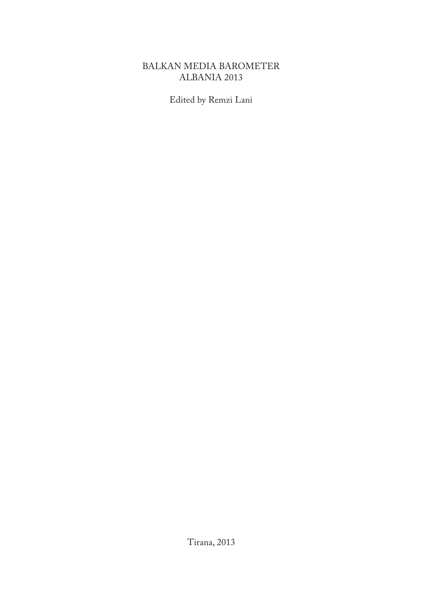#### BALKAN MEDIA BAROMETER ALBANIA 2013

Edited by Remzi Lani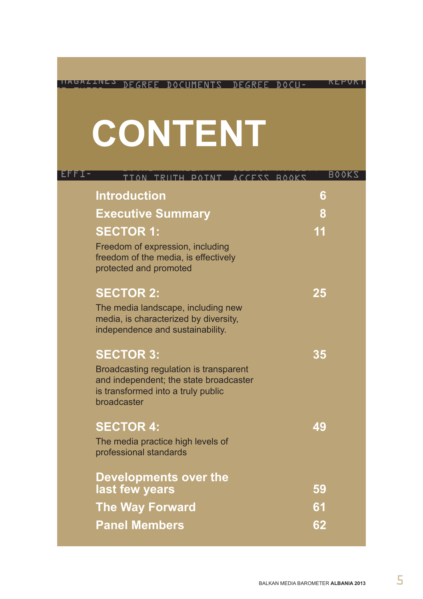**MAGAZINES** DEGREE DOCUMENTS DEGREE DOCU-

**KEPVKT** 

# **CONTENT**

| EFFI- | TON TRIITH POTNT                                                                                                                      | <b>BOOK2</b> |
|-------|---------------------------------------------------------------------------------------------------------------------------------------|--------------|
|       | <b>Introduction</b>                                                                                                                   | 6            |
|       | <b>Executive Summary</b>                                                                                                              | 8            |
|       | <b>SECTOR 1:</b>                                                                                                                      | 11           |
|       | Freedom of expression, including<br>freedom of the media, is effectively<br>protected and promoted                                    |              |
|       | <b>SECTOR 2:</b>                                                                                                                      | 25           |
|       | The media landscape, including new<br>media, is characterized by diversity,<br>independence and sustainability.                       |              |
|       | <b>SECTOR 3:</b>                                                                                                                      | 35           |
|       | Broadcasting regulation is transparent<br>and independent; the state broadcaster<br>is transformed into a truly public<br>broadcaster |              |
|       | <b>SECTOR 4:</b>                                                                                                                      | 49           |
|       | The media practice high levels of<br>professional standards                                                                           |              |
|       | <b>Developments over the</b>                                                                                                          |              |
|       | last few years                                                                                                                        | 59           |
|       | <b>The Way Forward</b>                                                                                                                | 61           |
|       | <b>Panel Members</b>                                                                                                                  | 62           |
|       |                                                                                                                                       |              |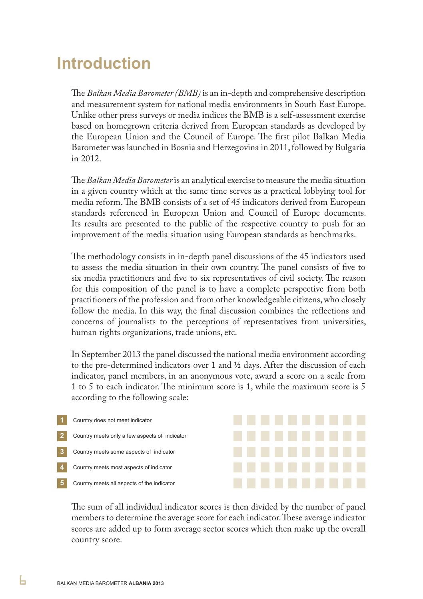## **Introduction**

The *Balkan Media Barometer (BMB)* is an in-depth and comprehensive description and measurement system for national media environments in South East Europe. Unlike other press surveys or media indices the BMB is a self-assessment exercise based on homegrown criteria derived from European standards as developed by the European Union and the Council of Europe. The first pilot Balkan Media Barometer was launched in Bosnia and Herzegovina in 2011, followed by Bulgaria in 2012.

The *Balkan Media Barometer* is an analytical exercise to measure the media situation in a given country which at the same time serves as a practical lobbying tool for media reform. The BMB consists of a set of 45 indicators derived from European standards referenced in European Union and Council of Europe documents. Its results are presented to the public of the respective country to push for an improvement of the media situation using European standards as benchmarks.

The methodology consists in in-depth panel discussions of the 45 indicators used to assess the media situation in their own country. The panel consists of five to six media practitioners and five to six representatives of civil society. The reason for this composition of the panel is to have a complete perspective from both practitioners of the profession and from other knowledgeable citizens, who closely follow the media. In this way, the final discussion combines the reflections and concerns of journalists to the perceptions of representatives from universities, human rights organizations, trade unions, etc.

In September 2013 the panel discussed the national media environment according to the pre-determined indicators over 1 and ½ days. After the discussion of each indicator, panel members, in an anonymous vote, award a score on a scale from 1 to 5 to each indicator. The minimum score is 1, while the maximum score is 5 according to the following scale:

Country does not meet indicator Country meets only a few aspects of indicator Country meets some aspects of indicator Country meets most aspects of indicator Country meets all aspects of the indicator **2 3 4 5 1**



The sum of all individual indicator scores is then divided by the number of panel members to determine the average score for each indicator. These average indicator scores are added up to form average sector scores which then make up the overall country score.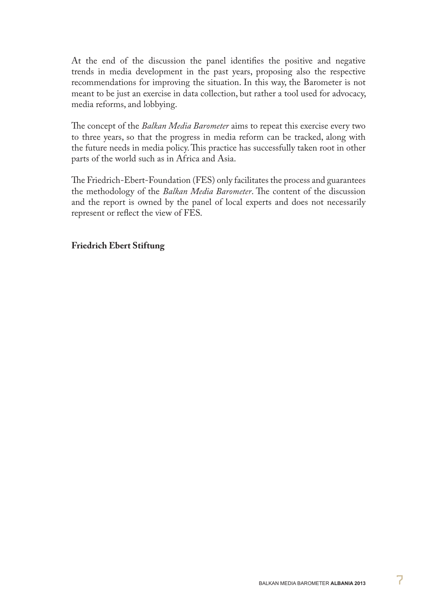At the end of the discussion the panel identifies the positive and negative trends in media development in the past years, proposing also the respective recommendations for improving the situation. In this way, the Barometer is not meant to be just an exercise in data collection, but rather a tool used for advocacy, media reforms, and lobbying.

The concept of the *Balkan Media Barometer* aims to repeat this exercise every two to three years, so that the progress in media reform can be tracked, along with the future needs in media policy. This practice has successfully taken root in other parts of the world such as in Africa and Asia.

The Friedrich-Ebert-Foundation (FES) only facilitates the process and guarantees the methodology of the *Balkan Media Barometer*. The content of the discussion and the report is owned by the panel of local experts and does not necessarily represent or reflect the view of FES.

#### **Friedrich Ebert Stiftung**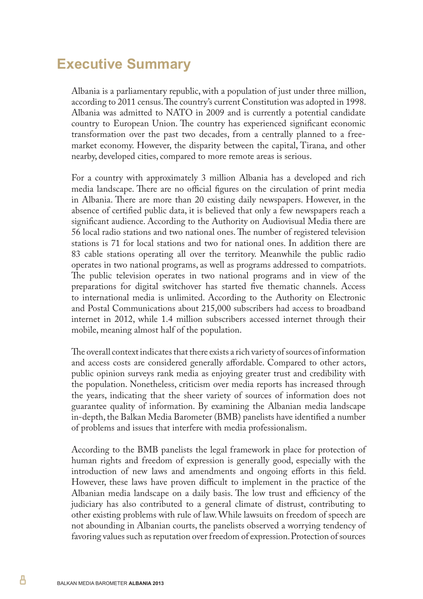## **Executive Summary**

Albania is a parliamentary republic, with a population of just under three million, according to 2011 census. The country's current Constitution was adopted in 1998. Albania was admitted to NATO in 2009 and is currently a potential candidate country to European Union. The country has experienced significant economic transformation over the past two decades, from a centrally planned to a freemarket economy. However, the disparity between the capital, Tirana, and other nearby, developed cities, compared to more remote areas is serious.

For a country with approximately 3 million Albania has a developed and rich media landscape. There are no official figures on the circulation of print media in Albania. There are more than 20 existing daily newspapers. However, in the absence of certified public data, it is believed that only a few newspapers reach a significant audience. According to the Authority on Audiovisual Media there are 56 local radio stations and two national ones. The number of registered television stations is 71 for local stations and two for national ones. In addition there are 83 cable stations operating all over the territory. Meanwhile the public radio operates in two national programs, as well as programs addressed to compatriots. The public television operates in two national programs and in view of the preparations for digital switchover has started five thematic channels. Access to international media is unlimited. According to the Authority on Electronic and Postal Communications about 215,000 subscribers had access to broadband internet in 2012, while 1.4 million subscribers accessed internet through their mobile, meaning almost half of the population.

The overall context indicates that there exists a rich variety of sources of information and access costs are considered generally affordable. Compared to other actors, public opinion surveys rank media as enjoying greater trust and credibility with the population. Nonetheless, criticism over media reports has increased through the years, indicating that the sheer variety of sources of information does not guarantee quality of information. By examining the Albanian media landscape in-depth, the Balkan Media Barometer (BMB) panelists have identified a number of problems and issues that interfere with media professionalism.

According to the BMB panelists the legal framework in place for protection of human rights and freedom of expression is generally good, especially with the introduction of new laws and amendments and ongoing efforts in this field. However, these laws have proven difficult to implement in the practice of the Albanian media landscape on a daily basis. The low trust and efficiency of the judiciary has also contributed to a general climate of distrust, contributing to other existing problems with rule of law. While lawsuits on freedom of speech are not abounding in Albanian courts, the panelists observed a worrying tendency of favoring values such as reputation over freedom of expression. Protection of sources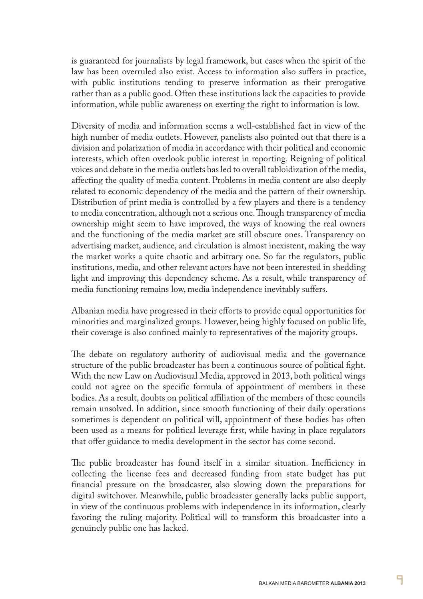is guaranteed for journalists by legal framework, but cases when the spirit of the law has been overruled also exist. Access to information also suffers in practice, with public institutions tending to preserve information as their prerogative rather than as a public good. Often these institutions lack the capacities to provide information, while public awareness on exerting the right to information is low.

Diversity of media and information seems a well-established fact in view of the high number of media outlets. However, panelists also pointed out that there is a division and polarization of media in accordance with their political and economic interests, which often overlook public interest in reporting. Reigning of political voices and debate in the media outlets has led to overall tabloidization of the media, affecting the quality of media content. Problems in media content are also deeply related to economic dependency of the media and the pattern of their ownership. Distribution of print media is controlled by a few players and there is a tendency to media concentration, although not a serious one. Though transparency of media ownership might seem to have improved, the ways of knowing the real owners and the functioning of the media market are still obscure ones. Transparency on advertising market, audience, and circulation is almost inexistent, making the way the market works a quite chaotic and arbitrary one. So far the regulators, public institutions, media, and other relevant actors have not been interested in shedding light and improving this dependency scheme. As a result, while transparency of media functioning remains low, media independence inevitably suffers.

Albanian media have progressed in their efforts to provide equal opportunities for minorities and marginalized groups. However, being highly focused on public life, their coverage is also confined mainly to representatives of the majority groups.

The debate on regulatory authority of audiovisual media and the governance structure of the public broadcaster has been a continuous source of political fight. With the new Law on Audiovisual Media, approved in 2013, both political wings could not agree on the specific formula of appointment of members in these bodies. As a result, doubts on political affiliation of the members of these councils remain unsolved. In addition, since smooth functioning of their daily operations sometimes is dependent on political will, appointment of these bodies has often been used as a means for political leverage first, while having in place regulators that offer guidance to media development in the sector has come second.

The public broadcaster has found itself in a similar situation. Inefficiency in collecting the license fees and decreased funding from state budget has put financial pressure on the broadcaster, also slowing down the preparations for digital switchover. Meanwhile, public broadcaster generally lacks public support, in view of the continuous problems with independence in its information, clearly favoring the ruling majority. Political will to transform this broadcaster into a genuinely public one has lacked.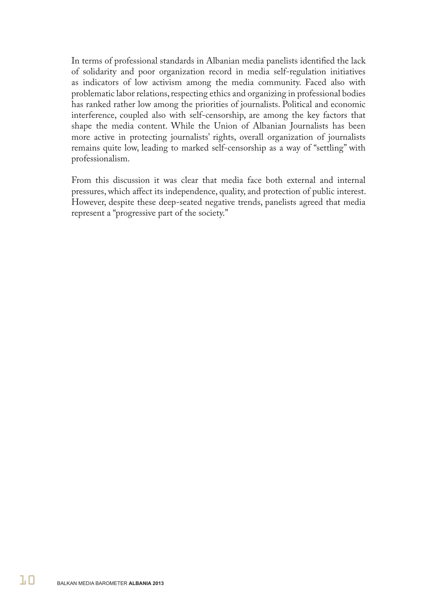In terms of professional standards in Albanian media panelists identified the lack of solidarity and poor organization record in media self-regulation initiatives as indicators of low activism among the media community. Faced also with problematic labor relations, respecting ethics and organizing in professional bodies has ranked rather low among the priorities of journalists. Political and economic interference, coupled also with self-censorship, are among the key factors that shape the media content. While the Union of Albanian Journalists has been more active in protecting journalists' rights, overall organization of journalists remains quite low, leading to marked self-censorship as a way of "settling" with professionalism.

From this discussion it was clear that media face both external and internal pressures, which affect its independence, quality, and protection of public interest. However, despite these deep-seated negative trends, panelists agreed that media represent a "progressive part of the society."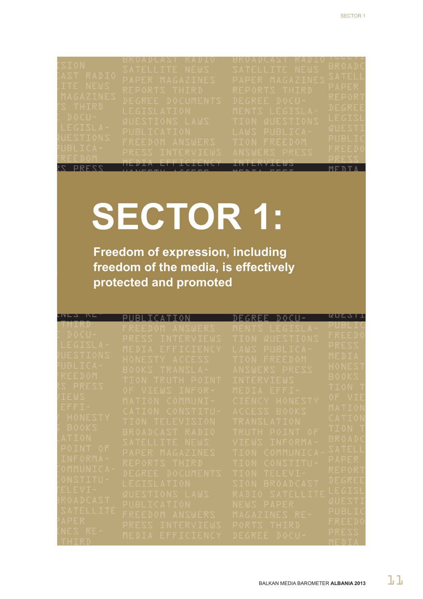|                 | D N V A J L A S I N A J L V                                       | BRVADLASI NAD          |                                       |
|-----------------|-------------------------------------------------------------------|------------------------|---------------------------------------|
| <b>SION</b>     | SATELLITE NEWS                                                    | SATELLITE NEWS         | <b>BROAD</b>                          |
| AST RADIO       | PAPER MAGAZINES                                                   | PAPER MAGAZINES SATELL |                                       |
| ITE NEWS        | REPORTS THIRD                                                     | REPORTS THIRD          | PAPER.                                |
| MAGAZINES       | DEGREE DOCUMENTS                                                  |                        | <b>REPORT</b>                         |
| S THIRD         |                                                                   | DEGREE DOCU-           | <b>DEGREE</b>                         |
| DOCU            | <b>LEGISLATION</b>                                                | MENTS LEGISLA          | LEGISL                                |
| LEGISLA         | <b>QUESTIONS LAWS</b>                                             | TION QUESTIONS         | QUESTI                                |
| <b>UESTIONS</b> | PUBLICATION                                                       | LAWS PUBLICA.          | PUBLI <sub>(</sub>                    |
| UBLICA          | FREEDOM ANSWERS                                                   | TION FREEDOM           | FREED                                 |
| <b>REEDOM</b>   | PRESS INTERVIEWS                                                  | ANSWERS PRESS          |                                       |
| ia nnrae        | MENTA FEETATENAV INTERUIFUS<br>11 L J J A C L I L L L L L I V L L | -------------          | <b>PRESS</b><br><b>Address 1988</b> A |

# **SECTOR 1:**

**Freedom of expression, including freedom of the media, is effectively protected and promoted**

| או גם או.    | PHRITCATTON             | DEGREE DOCII-         | <b>MNL7IT</b> |
|--------------|-------------------------|-----------------------|---------------|
| IHIKD        | <b>FREEDOM ANSWERS</b>  | MENTS LEGISLA         | PUBLIQ        |
| $DOCU$ –     | PRESS INTERVIEWS        | <b>TION QUESTIONS</b> | FREEDO        |
| LEGISLA      | MEDIA EFFICIENCY        | LAWS PUBLICA          | <b>PRESS</b>  |
| UESTIONS     |                         |                       | MEDIA         |
| UBLICA-      | HONESTY ACCESS          | TION FREEDOM          |               |
|              | BOOKS TRANSLA-          | ANSWERS PRESS         | HONEST        |
| REEDOM       | <b>TION TRUTH POINT</b> | <b>INTERVIEWS</b>     | BOOKS         |
| S PRESS      | OF VIEWS INFOR-         | MEDIA EFFI-           | TION T        |
| IEWS         | MATION COMMUNI-         | CIENCY HONESTY        | OF VIE        |
| EFFI-        |                         |                       | MATION        |
| HONESTY      | CATION CONSTITU         | ACCESS BOOKS          |               |
|              | TION TELEVISION         | <b>TRANSLATION</b>    | CATION        |
| BOOKS        | BROADCAST RADIO         | TRUTH POINT OF        | TION T        |
| <b>ATION</b> | SATELLITE NEWS          | VIEWS INFORMA         | <b>BROADC</b> |
| POINT OF     |                         |                       | SATELL        |
| INFORMA      | PAPER MAGAZINES         | TION COMMUNICA        | PAPER         |
| OMMUNICA     | REPORTS THIRD           | TION CONSTITU-        |               |
|              | DEGREE DOCUMENTS        | TION TELEVI-          | REPORT        |
| ONSTITU–     | <b>LEGISLATION</b>      | SION BROADCAST        | DEGREE        |
| ELEVI-       | <b>QUESTIONS LAWS</b>   | RADIO SATELLITE       | LEGISL        |
| ROADCAST     | PUBLICATION             | NEWS PAPER            | QUESTI        |
| SATELLITE    |                         |                       | PUBLIC        |
| APER         | FREEDOM ANSWERS         | MAGAZINES RE          | FREEDO        |
|              | PRESS INTERVIEWS        | PORTS THIRD           |               |
| NES RE-      | MEDIA EFFICIENCY        | DEGREE DOCU-          | PRESS.        |
|              |                         |                       |               |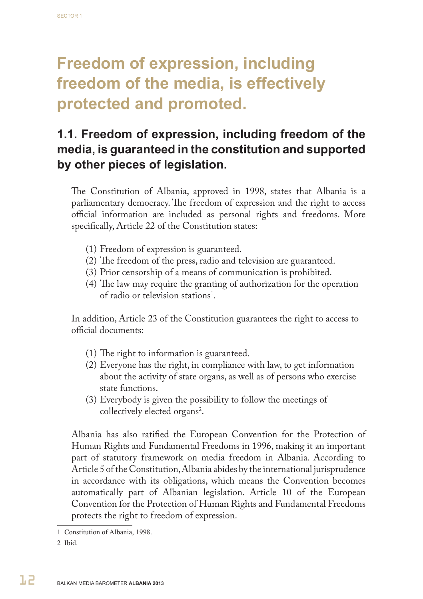# **Freedom of expression, including freedom of the media, is effectively protected and promoted.**

## **1.1. Freedom of expression, including freedom of the media, is guaranteed in the constitution and supported by other pieces of legislation.**

The Constitution of Albania, approved in 1998, states that Albania is a parliamentary democracy. The freedom of expression and the right to access official information are included as personal rights and freedoms. More specifically, Article 22 of the Constitution states:

- (1) Freedom of expression is guaranteed.
- (2) The freedom of the press, radio and television are guaranteed.
- (3) Prior censorship of a means of communication is prohibited.
- (4) The law may require the granting of authorization for the operation of radio or television stations<sup>1</sup>.

In addition, Article 23 of the Constitution guarantees the right to access to official documents:

- (1) The right to information is guaranteed.
- (2) Everyone has the right, in compliance with law, to get information about the activity of state organs, as well as of persons who exercise state functions.
- (3) Everybody is given the possibility to follow the meetings of collectively elected organs<sup>2</sup>.

Albania has also ratified the European Convention for the Protection of Human Rights and Fundamental Freedoms in 1996, making it an important part of statutory framework on media freedom in Albania. According to Article 5 of the Constitution, Albania abides by the international jurisprudence in accordance with its obligations, which means the Convention becomes automatically part of Albanian legislation. Article 10 of the European Convention for the Protection of Human Rights and Fundamental Freedoms protects the right to freedom of expression.

<sup>1</sup> Constitution of Albania, 1998.

<sup>2</sup> Ibid.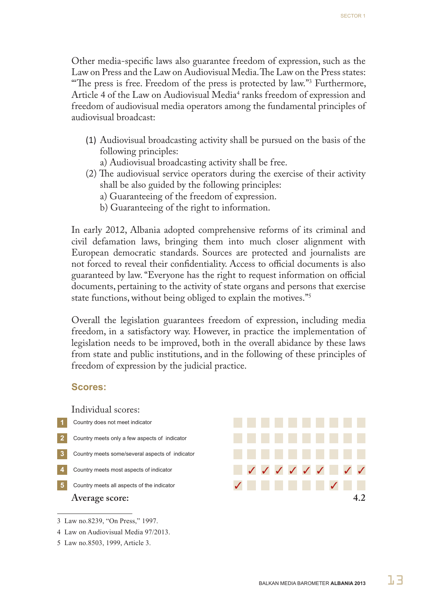Other media-specific laws also guarantee freedom of expression, such as the Law on Press and the Law on Audiovisual Media. The Law on the Press states: "The press is free. Freedom of the press is protected by law."<sup>3</sup> Furthermore, Article 4 of the Law on Audiovisual Media<sup>4</sup> ranks freedom of expression and freedom of audiovisual media operators among the fundamental principles of audiovisual broadcast:

- (1) Audiovisual broadcasting activity shall be pursued on the basis of the following principles:
	- a) Audiovisual broadcasting activity shall be free.
- (2) The audiovisual service operators during the exercise of their activity shall be also guided by the following principles:
	- a) Guaranteeing of the freedom of expression.
	- b) Guaranteeing of the right to information.

In early 2012, Albania adopted comprehensive reforms of its criminal and civil defamation laws, bringing them into much closer alignment with European democratic standards. Sources are protected and journalists are not forced to reveal their confidentiality. Access to official documents is also guaranteed by law. "Everyone has the right to request information on official documents, pertaining to the activity of state organs and persons that exercise state functions, without being obliged to explain the motives."<sup>5</sup>

Overall the legislation guarantees freedom of expression, including media freedom, in a satisfactory way. However, in practice the implementation of legislation needs to be improved, both in the overall abidance by these laws from state and public institutions, and in the following of these principles of freedom of expression by the judicial practice.

#### **Scores:**

Individual scores: Country does not meet indicator Country meets only a few aspects of indicator Country meets some/several aspects of indicator Country meets most aspects of indicator Country meets all aspects of the indicator **2 3 4 5 1**



<sup>3</sup> Law no.8239, "On Press," 1997.

<sup>4</sup> Law on Audiovisual Media 97/2013.

<sup>5</sup> Law no.8503, 1999, Article 3.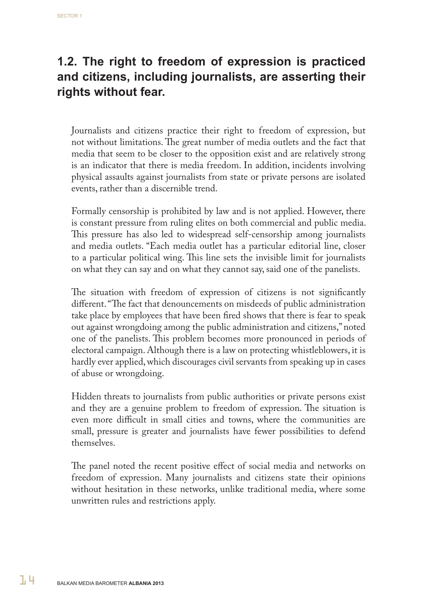## **1.2. The right to freedom of expression is practiced and citizens, including journalists, are asserting their rights without fear.**

Journalists and citizens practice their right to freedom of expression, but not without limitations. The great number of media outlets and the fact that media that seem to be closer to the opposition exist and are relatively strong is an indicator that there is media freedom. In addition, incidents involving physical assaults against journalists from state or private persons are isolated events, rather than a discernible trend.

Formally censorship is prohibited by law and is not applied. However, there is constant pressure from ruling elites on both commercial and public media. This pressure has also led to widespread self-censorship among journalists and media outlets. "Each media outlet has a particular editorial line, closer to a particular political wing. This line sets the invisible limit for journalists on what they can say and on what they cannot say, said one of the panelists.

The situation with freedom of expression of citizens is not significantly different. "The fact that denouncements on misdeeds of public administration take place by employees that have been fired shows that there is fear to speak out against wrongdoing among the public administration and citizens," noted one of the panelists. This problem becomes more pronounced in periods of electoral campaign. Although there is a law on protecting whistleblowers, it is hardly ever applied, which discourages civil servants from speaking up in cases of abuse or wrongdoing.

Hidden threats to journalists from public authorities or private persons exist and they are a genuine problem to freedom of expression. The situation is even more difficult in small cities and towns, where the communities are small, pressure is greater and journalists have fewer possibilities to defend themselves.

The panel noted the recent positive effect of social media and networks on freedom of expression. Many journalists and citizens state their opinions without hesitation in these networks, unlike traditional media, where some unwritten rules and restrictions apply.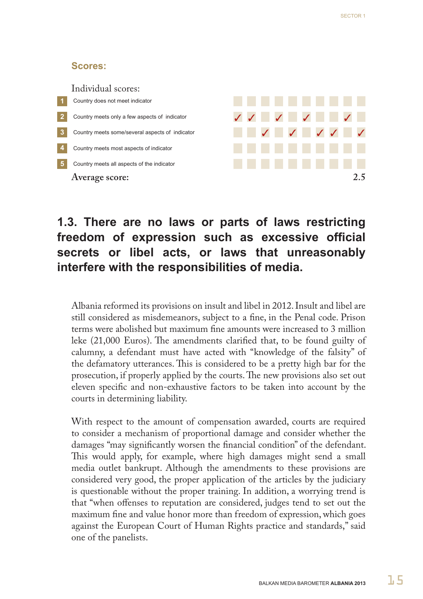#### **Scores:**



## **1.3. There are no laws or parts of laws restricting freedom of expression such as excessive official secrets or libel acts, or laws that unreasonably interfere with the responsibilities of media.**

Albania reformed its provisions on insult and libel in 2012. Insult and libel are still considered as misdemeanors, subject to a fine, in the Penal code. Prison terms were abolished but maximum fine amounts were increased to 3 million leke (21,000 Euros). The amendments clarified that, to be found guilty of calumny, a defendant must have acted with "knowledge of the falsity" of the defamatory utterances. This is considered to be a pretty high bar for the prosecution, if properly applied by the courts. The new provisions also set out eleven specific and non-exhaustive factors to be taken into account by the courts in determining liability.

With respect to the amount of compensation awarded, courts are required to consider a mechanism of proportional damage and consider whether the damages "may significantly worsen the financial condition" of the defendant. This would apply, for example, where high damages might send a small media outlet bankrupt. Although the amendments to these provisions are considered very good, the proper application of the articles by the judiciary is questionable without the proper training. In addition, a worrying trend is that "when offenses to reputation are considered, judges tend to set out the maximum fine and value honor more than freedom of expression, which goes against the European Court of Human Rights practice and standards," said one of the panelists.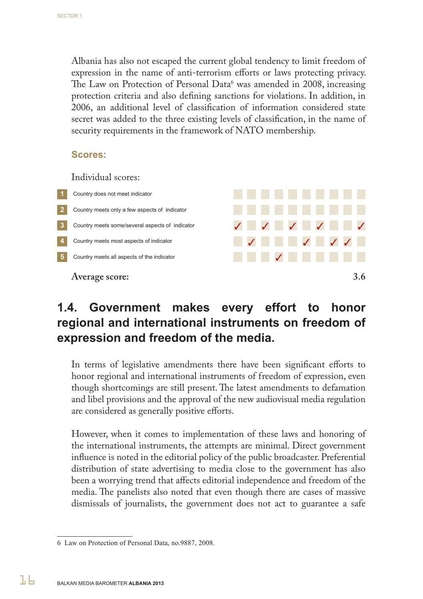Albania has also not escaped the current global tendency to limit freedom of expression in the name of anti-terrorism efforts or laws protecting privacy. The Law on Protection of Personal Data<sup>6</sup> was amended in 2008, increasing protection criteria and also defining sanctions for violations. In addition, in 2006, an additional level of classification of information considered state secret was added to the three existing levels of classification, in the name of security requirements in the framework of NATO membership.

#### **Scores:**

Individual scores:



### **1.4. Government makes every effort to honor regional and international instruments on freedom of expression and freedom of the media.**

In terms of legislative amendments there have been significant efforts to honor regional and international instruments of freedom of expression, even though shortcomings are still present. The latest amendments to defamation and libel provisions and the approval of the new audiovisual media regulation are considered as generally positive efforts.

However, when it comes to implementation of these laws and honoring of the international instruments, the attempts are minimal. Direct government influence is noted in the editorial policy of the public broadcaster. Preferential distribution of state advertising to media close to the government has also been a worrying trend that affects editorial independence and freedom of the media. The panelists also noted that even though there are cases of massive dismissals of journalists, the government does not act to guarantee a safe

<sup>6</sup> Law on Protection of Personal Data, no.9887, 2008.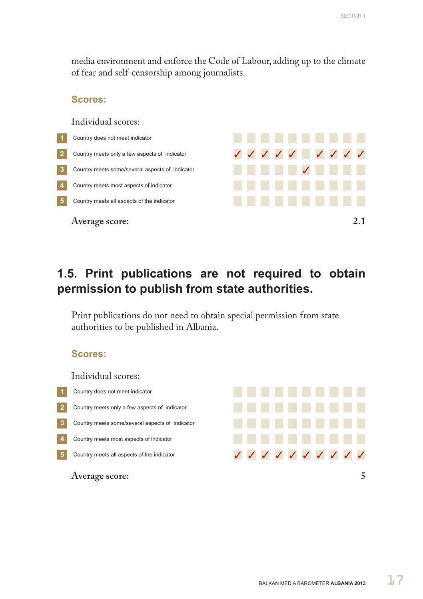media environment and enforce the Code of Labour, adding up to the climate of fear and self-censorship among journalists.

#### **Scores:**



## **1.5. Print publications are not required to obtain permission to publish from state authorities.**

Print publications do not need to obtain special permission from state authorities to be published in Albania.

#### **Scores:**

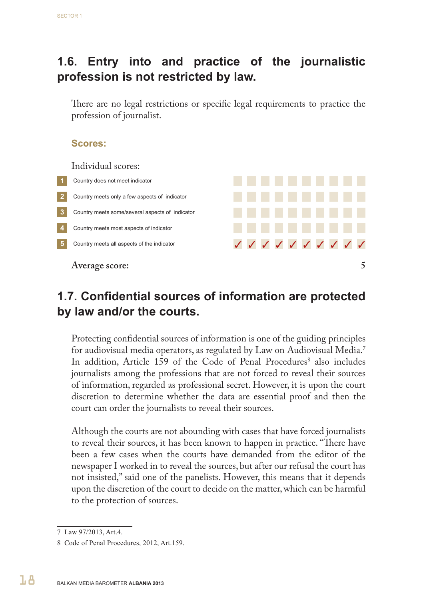## **1.6. Entry into and practice of the journalistic profession is not restricted by law.**

There are no legal restrictions or specific legal requirements to practice the profession of journalist.

#### **Scores:**



## **1.7. Confidential sources of information are protected by law and/or the courts.**

Protecting confidential sources of information is one of the guiding principles for audiovisual media operators, as regulated by Law on Audiovisual Media.7 In addition, Article 159 of the Code of Penal Procedures<sup>8</sup> also includes journalists among the professions that are not forced to reveal their sources of information, regarded as professional secret. However, it is upon the court discretion to determine whether the data are essential proof and then the court can order the journalists to reveal their sources.

Although the courts are not abounding with cases that have forced journalists to reveal their sources, it has been known to happen in practice. "There have been a few cases when the courts have demanded from the editor of the newspaper I worked in to reveal the sources, but after our refusal the court has not insisted," said one of the panelists. However, this means that it depends upon the discretion of the court to decide on the matter, which can be harmful to the protection of sources.

<sup>7</sup> Law 97/2013, Art.4.

<sup>8</sup> Code of Penal Procedures, 2012, Art.159.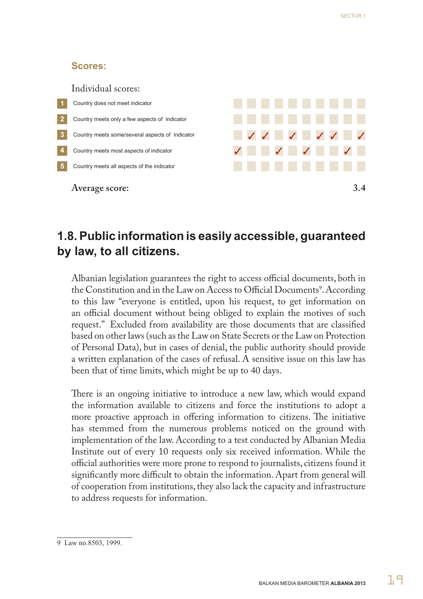#### **Scores:**



## **1.8. Public information is easily accessible, guaranteed by law, to all citizens.**

Albanian legislation guarantees the right to access official documents, both in the Constitution and in the Law on Access to Official Documents<sup>9</sup>. According to this law "everyone is entitled, upon his request, to get information on an official document without being obliged to explain the motives of such request." Excluded from availability are those documents that are classified based on other laws (such as the Law on State Secrets or the Law on Protection of Personal Data), but in cases of denial, the public authority should provide a written explanation of the cases of refusal. A sensitive issue on this law has been that of time limits, which might be up to 40 days.

There is an ongoing initiative to introduce a new law, which would expand the information available to citizens and force the institutions to adopt a more proactive approach in offering information to citizens. The initiative has stemmed from the numerous problems noticed on the ground with implementation of the law. According to a test conducted by Albanian Media Institute out of every 10 requests only six received information. While the official authorities were more prone to respond to journalists, citizens found it significantly more difficult to obtain the information. Apart from general will of cooperation from institutions, they also lack the capacity and infrastructure to address requests for information.

<sup>9</sup> Law no.8503, 1999.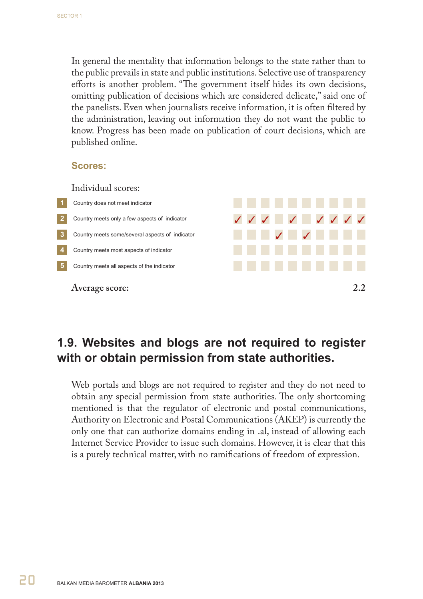In general the mentality that information belongs to the state rather than to the public prevails in state and public institutions. Selective use of transparency efforts is another problem. "The government itself hides its own decisions, omitting publication of decisions which are considered delicate," said one of the panelists. Even when journalists receive information, it is often filtered by the administration, leaving out information they do not want the public to know. Progress has been made on publication of court decisions, which are published online.

#### **Scores:**

Individual scores:



#### **1.9. Websites and blogs are not required to register with or obtain permission from state authorities.**

Web portals and blogs are not required to register and they do not need to obtain any special permission from state authorities. The only shortcoming mentioned is that the regulator of electronic and postal communications, Authority on Electronic and Postal Communications (AKEP) is currently the only one that can authorize domains ending in .al, instead of allowing each Internet Service Provider to issue such domains. However, it is clear that this is a purely technical matter, with no ramifications of freedom of expression.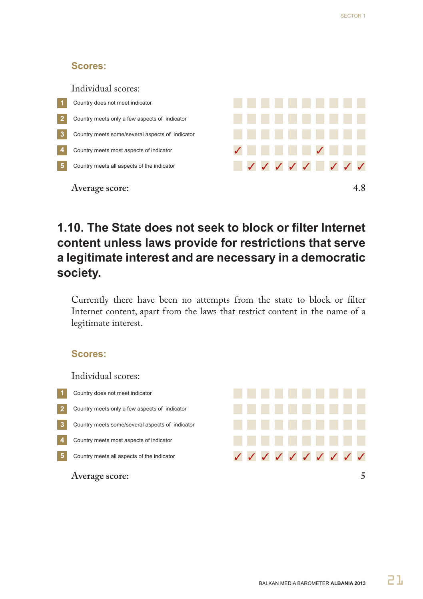#### **Scores:**

Individual scores:



## **1.10. The State does not seek to block or filter Internet content unless laws provide for restrictions that serve a legitimate interest and are necessary in a democratic society.**

Currently there have been no attempts from the state to block or filter Internet content, apart from the laws that restrict content in the name of a legitimate interest.

#### **Scores:**

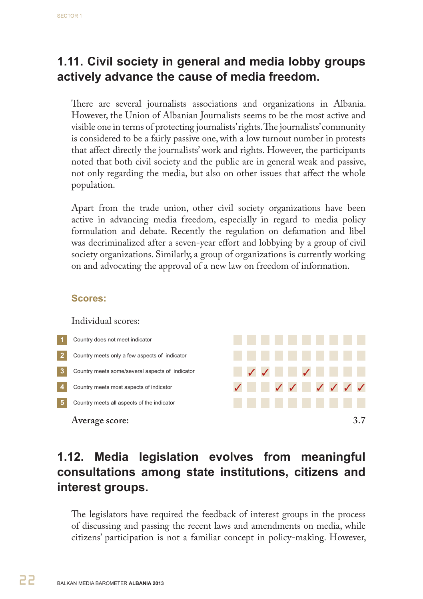## **1.11. Civil society in general and media lobby groups actively advance the cause of media freedom.**

There are several journalists associations and organizations in Albania. However, the Union of Albanian Journalists seems to be the most active and visible one in terms of protecting journalists' rights. The journalists' community is considered to be a fairly passive one, with a low turnout number in protests that affect directly the journalists' work and rights. However, the participants noted that both civil society and the public are in general weak and passive, not only regarding the media, but also on other issues that affect the whole population.

Apart from the trade union, other civil society organizations have been active in advancing media freedom, especially in regard to media policy formulation and debate. Recently the regulation on defamation and libel was decriminalized after a seven-year effort and lobbying by a group of civil society organizations. Similarly, a group of organizations is currently working on and advocating the approval of a new law on freedom of information.

#### **Scores:**



## **1.12. Media legislation evolves from meaningful consultations among state institutions, citizens and interest groups.**

The legislators have required the feedback of interest groups in the process of discussing and passing the recent laws and amendments on media, while citizens' participation is not a familiar concept in policy-making. However,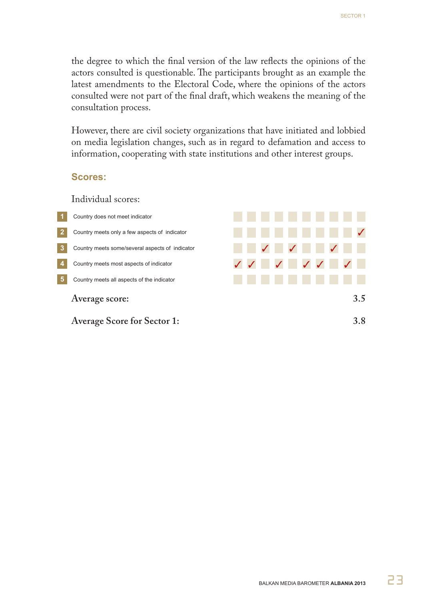the degree to which the final version of the law reflects the opinions of the actors consulted is questionable. The participants brought as an example the latest amendments to the Electoral Code, where the opinions of the actors consulted were not part of the final draft, which weakens the meaning of the consultation process.

However, there are civil society organizations that have initiated and lobbied on media legislation changes, such as in regard to defamation and access to information, cooperating with state institutions and other interest groups.

#### **Scores:**

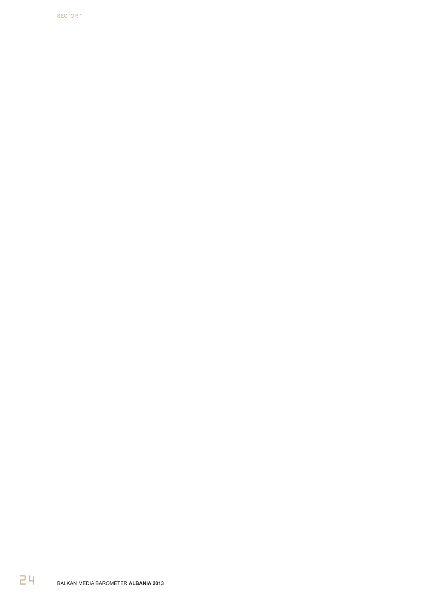SECTOR 1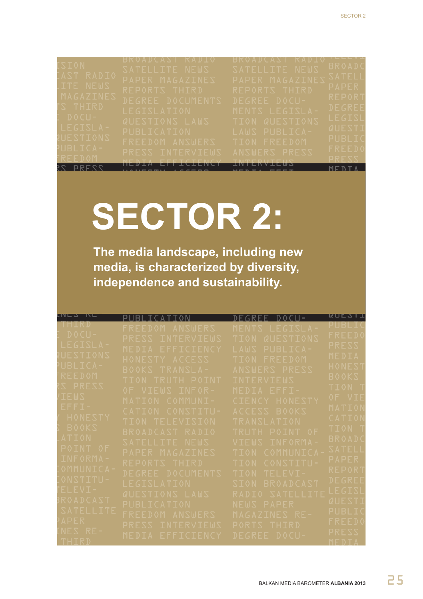|                  | BRVADLASI KADIV                    | BRVADLASI KAD          |                                        |
|------------------|------------------------------------|------------------------|----------------------------------------|
| $\sim$ MOIZ $\,$ | SATELLITE NEWS                     | SATELLITE NEWS         | <b>BROADC</b>                          |
| AST RADIO        | PAPER MAGAZINES                    | PAPER MAGAZINES SATELL |                                        |
| ITE NEWS         | REPORTS THIRD                      | REPORTS THIRD          | <b>PAPER</b>                           |
| MAGAZINES        | DEGREE DOCUMENTS                   | DEGREE DOCU-           | <b>REPORT</b>                          |
| S THIRD          | <b>LEGISLATION</b>                 | MENTS LEGISLA          | <b>DEGREE</b>                          |
| DOCU             | <b>QUESTIONS LAWS</b>              | TION QUESTIONS         | $L \nabla \times T \nabla L$<br>ᄔᄃᅝᅶᇰᄂ |
| <b>LEGISLA</b>   | PUBLICATION                        | LAWS PUBLICA           | <b>QUESTI</b>                          |
| UESTIONS         | FREEDOM ANSWERS                    | TION FREEDOM           | PUBLIC                                 |
| UBLICA·          | PRESS INTERVIEWS                   | ANSWERS PRESS          | <b>FREED0</b>                          |
| REFDOM           | <b>SERTA FEETATEMAV</b>            | <b>THEFBUTFUS</b>      | <b>DRESS</b>                           |
| ית חםר מי        | 11 L J J A C L I I I L L L I N L I | -------------          | M T R T                                |

# **SECTOR 2:**

**The media landscape, including new media, is characterized by diversity, independence and sustainability.**

|                    | PHRITCATTON           | DEGREE DOCU-       | <u> K N F 7 I T</u> |
|--------------------|-----------------------|--------------------|---------------------|
| I HIK D            | FREEDOM ANSWERS       | MENTS LEGISLA      | PUBLIC              |
| $DOCU$ –           | PRESS INTERVIEWS      | TION QUESTIONS     | FREEDO              |
| LEGISLA            | MEDIA EFFICIENCY      | LAWS PUBLICA       | <b>PRESS</b>        |
| UESTIONS           | HONESTY ACCESS        | TION FREEDOM       | MEDIA               |
| UBLICA-            | BOOKS TRANSLA-        | ANSWERS PRESS      | <b>HONEST</b>       |
| REEDOM             | TION TRUTH POINT      | <b>INTERVIEWS</b>  | BOOKS               |
| S PRESS            | OF VIEWS INFOR-       | MEDIA EFFI.        | TION T              |
| <b>IEWS</b>        | MATION COMMUNI-       | CIENCY HONESTY     | OF VIE              |
| EFFI-              | CATION CONSTITU       | ACCESS BOOKS       | MATION              |
| HONESTY            |                       | <b>TRANSLATION</b> | CATION              |
| BOOKS              | TION TELEVISION       |                    | TION T              |
| <b>ATION</b>       | BROADCANT RADTO       | TRIITH POTNT OF    | <b>BROADC</b>       |
| POINT OF           | SATELLITE NEWS        | VIEWS INFORMA      | <b>SATELL</b>       |
| INFORMA            | PAPER MAGAZINES       | TION COMMUNICA     | <b>PAPER</b>        |
| OMMUNICA           | REPORTS THIRD         | TTON CONSTITH-     | REPORT              |
| $0$ NSTIT $\sqcup$ | DEGREE DOCUMENTS      | TION TELEVI-       |                     |
| <b>ELEVI-</b>      | <b>LEGISLATION</b>    | SION BROADCAST     | DEGREE              |
|                    | <b>QUESTIONS LAWS</b> | RADIO SATELLITE    | LEGISL              |
| ROADCAST           | PUBLICATION           | NEWS PAPER         | QUESTI              |
| SATELLITE          | FREEDOM ANSWERS       | MAGAZINES RE       | PUBLIC              |
| APER               | PRESS INTERVIEWS      | PORTS THIRD        | FREEDO              |
| NES RE·            | MEDIA EFFICIENCY      | DEGREE DOCU-       | PRESS.              |
|                    |                       |                    |                     |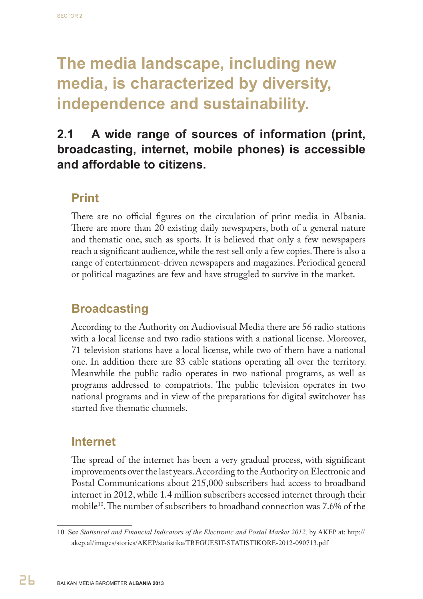# **The media landscape, including new media, is characterized by diversity, independence and sustainability.**

## **2.1 A wide range of sources of information (print, broadcasting, internet, mobile phones) is accessible and affordable to citizens.**

#### **Print**

There are no official figures on the circulation of print media in Albania. There are more than 20 existing daily newspapers, both of a general nature and thematic one, such as sports. It is believed that only a few newspapers reach a significant audience, while the rest sell only a few copies. There is also a range of entertainment-driven newspapers and magazines. Periodical general or political magazines are few and have struggled to survive in the market.

## **Broadcasting**

According to the Authority on Audiovisual Media there are 56 radio stations with a local license and two radio stations with a national license. Moreover, 71 television stations have a local license, while two of them have a national one. In addition there are 83 cable stations operating all over the territory. Meanwhile the public radio operates in two national programs, as well as programs addressed to compatriots. The public television operates in two national programs and in view of the preparations for digital switchover has started five thematic channels.

#### **Internet**

The spread of the internet has been a very gradual process, with significant improvements over the last years. According to the Authority on Electronic and Postal Communications about 215,000 subscribers had access to broadband internet in 2012, while 1.4 million subscribers accessed internet through their mobile<sup>10</sup>. The number of subscribers to broadband connection was  $7.6\%$  of the

<sup>10</sup> See *Statistical and Financial Indicators of the Electronic and Postal Market 2012,* by AKEP at: http:// akep.al/images/stories/AKEP/statistika/TREGUESIT-STATISTIKORE-2012-090713.pdf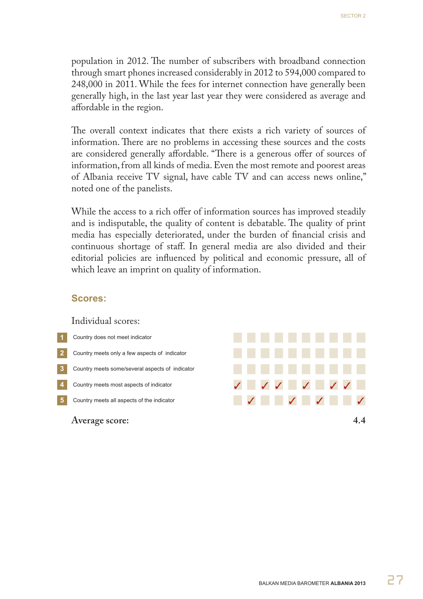population in 2012. The number of subscribers with broadband connection through smart phones increased considerably in 2012 to 594,000 compared to 248,000 in 2011. While the fees for internet connection have generally been generally high, in the last year last year they were considered as average and affordable in the region.

The overall context indicates that there exists a rich variety of sources of information. There are no problems in accessing these sources and the costs are considered generally affordable. "There is a generous offer of sources of information, from all kinds of media. Even the most remote and poorest areas of Albania receive TV signal, have cable TV and can access news online," noted one of the panelists.

While the access to a rich offer of information sources has improved steadily and is indisputable, the quality of content is debatable. The quality of print media has especially deteriorated, under the burden of financial crisis and continuous shortage of staff. In general media are also divided and their editorial policies are influenced by political and economic pressure, all of which leave an imprint on quality of information.

#### **Scores:**

Individual scores: Country does not meet indicator Country meets only a few aspects of indicator **2** Country meets some/several aspects of indicator **3** Country meets most aspects of indicator  $\mathcal{J}$ **4** Country meets all aspects of the indicator  $\checkmark$  and  $\checkmark$  and  $\checkmark$  and  $\checkmark$  and  $\checkmark$  and  $\checkmark$  and  $\checkmark$  and  $\checkmark$  and  $\checkmark$  and  $\checkmark$  and  $\checkmark$  and  $\checkmark$  and  $\checkmark$  and  $\checkmark$  and  $\checkmark$  and  $\checkmark$  and  $\checkmark$  and  $\checkmark$  and  $\checkmark$  and  $\checkmark$  and  $\checkmark$  and  $\checkmark$  and **5 Average score: 4.4**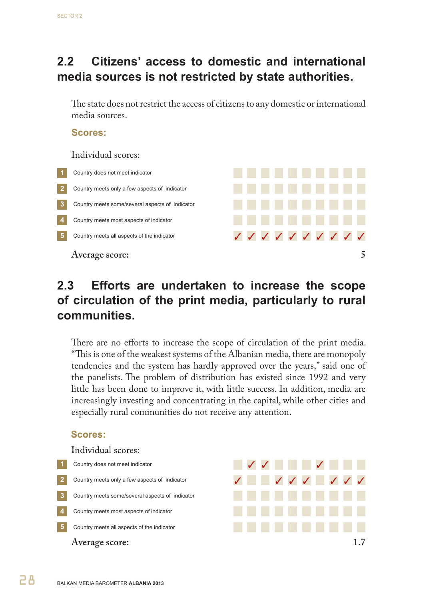## **2.2 Citizens' access to domestic and international media sources is not restricted by state authorities.**

The state does not restrict the access of citizens to any domestic or international media sources.

#### **Scores:**





#### **2.3 Efforts are undertaken to increase the scope of circulation of the print media, particularly to rural communities.**

There are no efforts to increase the scope of circulation of the print media. "This is one of the weakest systems of the Albanian media, there are monopoly tendencies and the system has hardly approved over the years," said one of the panelists. The problem of distribution has existed since 1992 and very little has been done to improve it, with little success. In addition, media are increasingly investing and concentrating in the capital, while other cities and especially rural communities do not receive any attention.

#### **Scores:**

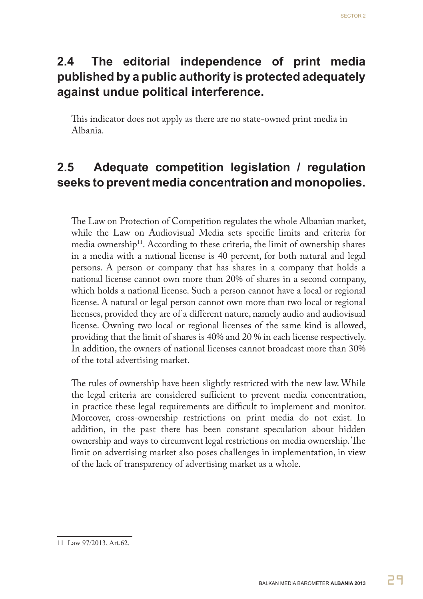## **2.4 The editorial independence of print media published by a public authority is protected adequately against undue political interference.**

This indicator does not apply as there are no state-owned print media in Albania.

## **2.5 Adequate competition legislation / regulation seeks to prevent media concentration and monopolies.**

The Law on Protection of Competition regulates the whole Albanian market, while the Law on Audiovisual Media sets specific limits and criteria for media ownership<sup>11</sup>. According to these criteria, the limit of ownership shares in a media with a national license is 40 percent, for both natural and legal persons. A person or company that has shares in a company that holds a national license cannot own more than 20% of shares in a second company, which holds a national license. Such a person cannot have a local or regional license. A natural or legal person cannot own more than two local or regional licenses, provided they are of a different nature, namely audio and audiovisual license. Owning two local or regional licenses of the same kind is allowed, providing that the limit of shares is 40% and 20 % in each license respectively. In addition, the owners of national licenses cannot broadcast more than 30% of the total advertising market.

The rules of ownership have been slightly restricted with the new law. While the legal criteria are considered sufficient to prevent media concentration, in practice these legal requirements are difficult to implement and monitor. Moreover, cross-ownership restrictions on print media do not exist. In addition, in the past there has been constant speculation about hidden ownership and ways to circumvent legal restrictions on media ownership. The limit on advertising market also poses challenges in implementation, in view of the lack of transparency of advertising market as a whole.

<sup>11</sup> Law 97/2013, Art.62.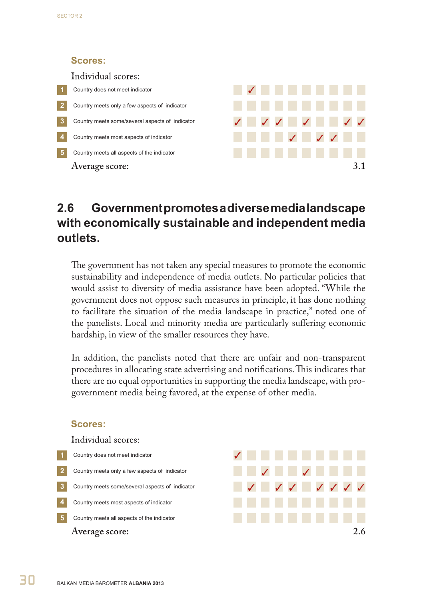#### **Scores:** Individual scores: Country does not meet indicator **1**Country meets only a few aspects of indicator **2** Country meets some/several aspects of indicator **3** Country meets most aspects of indicator **4** Country meets all aspects of the indicator **5** Average score: 3.1

## **2.6 Government promotes a diverse media landscape with economically sustainable and independent media outlets.**

The government has not taken any special measures to promote the economic sustainability and independence of media outlets. No particular policies that would assist to diversity of media assistance have been adopted. "While the government does not oppose such measures in principle, it has done nothing to facilitate the situation of the media landscape in practice," noted one of the panelists. Local and minority media are particularly suffering economic hardship, in view of the smaller resources they have.

In addition, the panelists noted that there are unfair and non-transparent procedures in allocating state advertising and notifications. This indicates that there are no equal opportunities in supporting the media landscape, with progovernment media being favored, at the expense of other media.

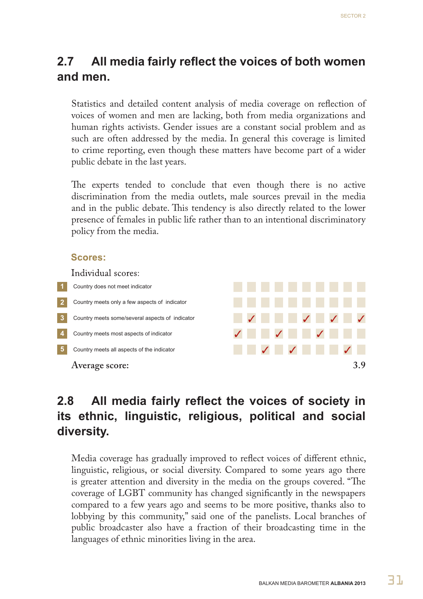## **2.7 All media fairly reflect the voices of both women and men.**

Statistics and detailed content analysis of media coverage on reflection of voices of women and men are lacking, both from media organizations and human rights activists. Gender issues are a constant social problem and as such are often addressed by the media. In general this coverage is limited to crime reporting, even though these matters have become part of a wider public debate in the last years.

The experts tended to conclude that even though there is no active discrimination from the media outlets, male sources prevail in the media and in the public debate. This tendency is also directly related to the lower presence of females in public life rather than to an intentional discriminatory policy from the media.

#### **Scores:**



## **2.8 All media fairly reflect the voices of society in its ethnic, linguistic, religious, political and social diversity.**

Media coverage has gradually improved to reflect voices of different ethnic, linguistic, religious, or social diversity. Compared to some years ago there is greater attention and diversity in the media on the groups covered. "The coverage of LGBT community has changed significantly in the newspapers compared to a few years ago and seems to be more positive, thanks also to lobbying by this community," said one of the panelists. Local branches of public broadcaster also have a fraction of their broadcasting time in the languages of ethnic minorities living in the area.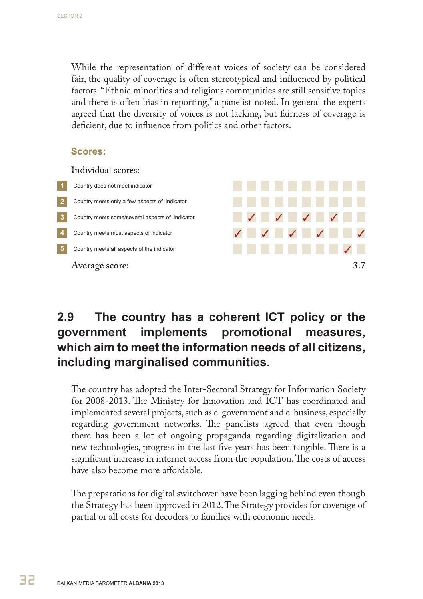While the representation of different voices of society can be considered fair, the quality of coverage is often stereotypical and influenced by political factors. "Ethnic minorities and religious communities are still sensitive topics and there is often bias in reporting," a panelist noted. In general the experts agreed that the diversity of voices is not lacking, but fairness of coverage is deficient, due to influence from politics and other factors.

#### **Scores:**

Individual scores:



## **2.9 The country has a coherent ICT policy or the government implements promotional measures, which aim to meet the information needs of all citizens, including marginalised communities.**

The country has adopted the Inter-Sectoral Strategy for Information Society for 2008-2013. The Ministry for Innovation and ICT has coordinated and implemented several projects, such as e-government and e-business, especially regarding government networks. The panelists agreed that even though there has been a lot of ongoing propaganda regarding digitalization and new technologies, progress in the last five years has been tangible. There is a significant increase in internet access from the population. The costs of access have also become more affordable.

The preparations for digital switchover have been lagging behind even though the Strategy has been approved in 2012. The Strategy provides for coverage of partial or all costs for decoders to families with economic needs.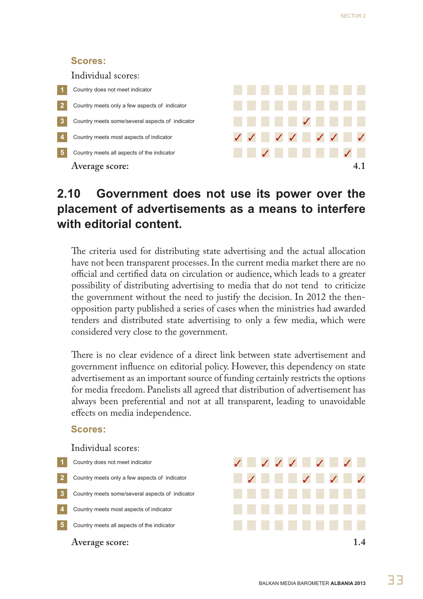#### Scores:

Individual scores:

Average score: 4.1 Country does not meet indicator Country meets only a few aspects of indicator Country meets some/several aspects of indicator Country meets most aspects of indicator Country meets all aspects of the indicator **2 3 4 5 1**

## **2.10 Government does not use its power over the placement of advertisements as a means to interfere with editorial content.**

The criteria used for distributing state advertising and the actual allocation have not been transparent processes. In the current media market there are no official and certified data on circulation or audience, which leads to a greater possibility of distributing advertising to media that do not tend to criticize the government without the need to justify the decision. In 2012 the thenopposition party published a series of cases when the ministries had awarded tenders and distributed state advertising to only a few media, which were considered very close to the government.

There is no clear evidence of a direct link between state advertisement and government influence on editorial policy. However, this dependency on state advertisement as an important source of funding certainly restricts the options for media freedom. Panelists all agreed that distribution of advertisement has always been preferential and not at all transparent, leading to unavoidable effects on media independence.

#### **Scores:**

#### Individual scores:

- Country does not meet indicator Country meets only a few aspects of indicator Country meets some/several aspects of indicator **2 3**
- Country meets most aspects of indicator **4**
- Country meets all aspects of the indicator **5**

 $J$   $J$   $J$   $J$   $J$ Average score: 1.4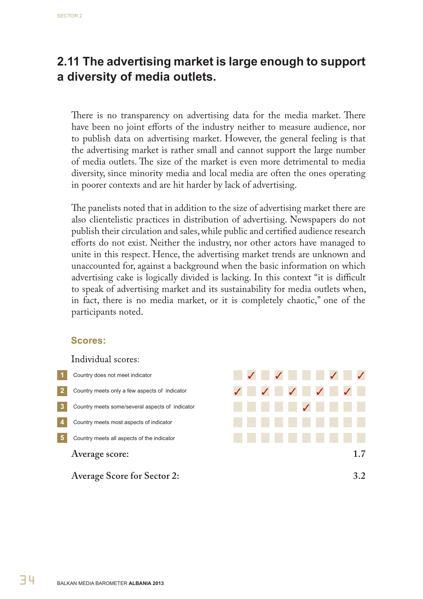## **2.11 The advertising market is large enough to support a diversity of media outlets.**

There is no transparency on advertising data for the media market. There have been no joint efforts of the industry neither to measure audience, nor to publish data on advertising market. However, the general feeling is that the advertising market is rather small and cannot support the large number of media outlets. The size of the market is even more detrimental to media diversity, since minority media and local media are often the ones operating in poorer contexts and are hit harder by lack of advertising.

The panelists noted that in addition to the size of advertising market there are also clientelistic practices in distribution of advertising. Newspapers do not publish their circulation and sales, while public and certified audience research efforts do not exist. Neither the industry, nor other actors have managed to unite in this respect. Hence, the advertising market trends are unknown and unaccounted for, against a background when the basic information on which advertising cake is logically divided is lacking. In this context "it is difficult to speak of advertising market and its sustainability for media outlets when, in fact, there is no media market, or it is completely chaotic," one of the participants noted.

#### Scores:

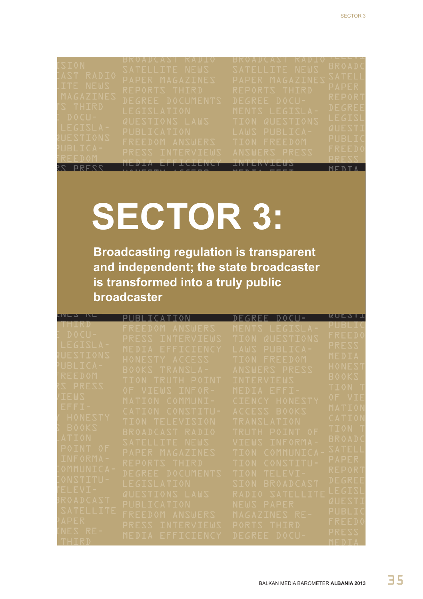|                  | BRVADLASI KADIV                    | BRVADLASI KAD          |                                        |
|------------------|------------------------------------|------------------------|----------------------------------------|
| $\sim$ MOIZ $\,$ | SATELLITE NEWS                     | SATELLITE NEWS         | <b>BROADC</b>                          |
| AST RADIO        | PAPER MAGAZINES                    | PAPER MAGAZINES SATELL |                                        |
| ITE NEWS         | REPORTS THIRD                      | REPORTS THIRD          | <b>PAPER</b>                           |
| MAGAZINES        | DEGREE DOCUMENTS                   | DEGREE DOCU-           | <b>REPORT</b>                          |
| S THIRD          | <b>LEGISLATION</b>                 | MENTS LEGISLA          | <b>DEGREE</b>                          |
| DOCU             | <b>QUESTIONS LAWS</b>              | TION QUESTIONS         | $L \nabla \times T \nabla L$<br>ᄔᄃᅝᅶᇰᄂ |
| <b>LEGISLA</b>   | PUBLICATION                        | LAWS PUBLICA           | <b>QUESTI</b>                          |
| UESTIONS         | FREEDOM ANSWERS                    | TION FREEDOM           | PUBLIC                                 |
| UBLICA·          | PRESS INTERVIEWS                   | ANSWERS PRESS          | <b>FREED0</b>                          |
| REFDOM           | <b>SERTA FEETATEMAV</b>            | <b>THEFBUTFUS</b>      | <b>DRESS</b>                           |
| ית חםר מי        | 11 L J J A C L I I I L L L I N L I | -------------          | M T R T                                |

# **SECTOR 3:**

**Broadcasting regulation is transparent and independent; the state broadcaster is transformed into a truly public broadcaster**

|             | PHRITCATTON             | DEGREE DOCII-      | <u>WUL 2 I T</u>   |
|-------------|-------------------------|--------------------|--------------------|
| HIRD        | FREEDOM ANSWERS         | MENTS LEGISLA      | <b>PUBLI</b>       |
| $DOCU$ –    | PRESS INTERVIEW         | TION QUESTIONS     | FREEDC             |
| LEGISLA     | MEDIA EFFICIENCY        | LAWS PUBLICA       | <b>PRESS</b>       |
| UESTIONS    | HONESTY ACCESS          | TION FREEDOM       | MEDIA              |
| UBLICA-     | BOOKS TRANSLA-          | ANSWERS PRESS      | HONES <sub>1</sub> |
| REEDOM      | <b>TION TRUTH POINT</b> | <b>INTERVIEWS</b>  | BOOKS              |
| Z PRESS     | OF VIEWS INFOR-         | MEDIA EFFI-        | TION T             |
| IEWS        | MATION COMMUNI-         | CIENCY HONESTY     | OF VIE             |
| EFFI.       | CATION CONSTITU         | ACCESS BOOKS       | MATION             |
| HONESTY     | TION TELEVISION         | <b>TRANSLATION</b> | CATION             |
| B00KS       | BROADCAST RADIO         | TRUTH POINT OF     | TION 7             |
| ATION.      |                         |                    | <b>BROADC</b>      |
| POINT OF    | SATELLITE NEWS          | VIEWS INFORMA      | <b>SATELL</b>      |
| INFORMA     | PAPER MAGAZINES         | TION COMMUNICA     | PAPER              |
| OMMUNICA    | REPORTS THIRD           | TION CONSTITU.     | <b>REPORT</b>      |
| ONSTITU–    | DEGREE DOCUMENTS        | TION TELEVI-       | DEGREE             |
| ELEVI·      | LEGISLATION             | SION BROADCAST     | LEGISL             |
| ROADCAST    | <b>QUESTIONS LAWS</b>   | RADIO SATELLITE    | QUESTI             |
| SATELLITE   | PUBLICATION             | NEWS PAPER         | PUBLIO             |
| <b>APER</b> | FREEDOM ANSWERS         | MAGAZINES RE       |                    |
|             | PRESS INTERVIEWS        | PORTS THIRD        | FREED(             |
| NES RE·     | MEDIA EFFICIENCY        | DEGREE DOCU-       | <b>PRESS</b>       |
| 'HIRD       |                         |                    |                    |

35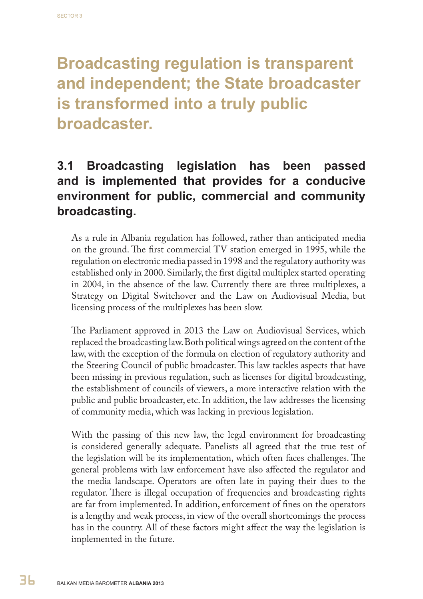**Broadcasting regulation is transparent and independent; the State broadcaster is transformed into a truly public broadcaster.**

## **3.1 Broadcasting legislation has been passed and is implemented that provides for a conducive environment for public, commercial and community broadcasting.**

As a rule in Albania regulation has followed, rather than anticipated media on the ground. The first commercial TV station emerged in 1995, while the regulation on electronic media passed in 1998 and the regulatory authority was established only in 2000. Similarly, the first digital multiplex started operating in 2004, in the absence of the law. Currently there are three multiplexes, a Strategy on Digital Switchover and the Law on Audiovisual Media, but licensing process of the multiplexes has been slow.

The Parliament approved in 2013 the Law on Audiovisual Services, which replaced the broadcasting law. Both political wings agreed on the content of the law, with the exception of the formula on election of regulatory authority and the Steering Council of public broadcaster. This law tackles aspects that have been missing in previous regulation, such as licenses for digital broadcasting, the establishment of councils of viewers, a more interactive relation with the public and public broadcaster, etc. In addition, the law addresses the licensing of community media, which was lacking in previous legislation.

With the passing of this new law, the legal environment for broadcasting is considered generally adequate. Panelists all agreed that the true test of the legislation will be its implementation, which often faces challenges. The general problems with law enforcement have also affected the regulator and the media landscape. Operators are often late in paying their dues to the regulator. There is illegal occupation of frequencies and broadcasting rights are far from implemented. In addition, enforcement of fines on the operators is a lengthy and weak process, in view of the overall shortcomings the process has in the country. All of these factors might affect the way the legislation is implemented in the future.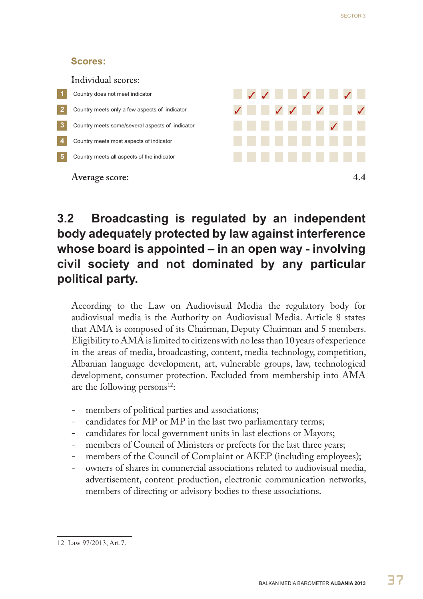

## **3.2 Broadcasting is regulated by an independent body adequately protected by law against interference whose board is appointed – in an open way - involving civil society and not dominated by any particular political party.**

According to the Law on Audiovisual Media the regulatory body for audiovisual media is the Authority on Audiovisual Media. Article 8 states that AMA is composed of its Chairman, Deputy Chairman and 5 members. Eligibility to AMA is limited to citizens with no less than 10 years of experience in the areas of media, broadcasting, content, media technology, competition, Albanian language development, art, vulnerable groups, law, technological development, consumer protection. Excluded from membership into AMA are the following persons $12$ :

- members of political parties and associations;
- candidates for MP or MP in the last two parliamentary terms;
- candidates for local government units in last elections or Mayors;
- members of Council of Ministers or prefects for the last three years;
- members of the Council of Complaint or AKEP (including employees);
- owners of shares in commercial associations related to audiovisual media, advertisement, content production, electronic communication networks, members of directing or advisory bodies to these associations.

<sup>12</sup> Law 97/2013, Art.7.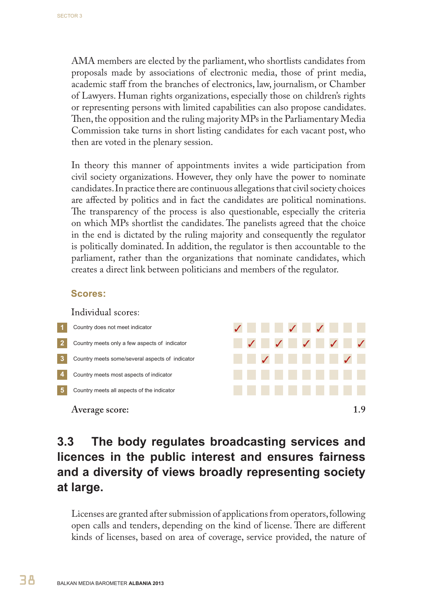AMA members are elected by the parliament, who shortlists candidates from proposals made by associations of electronic media, those of print media, academic staff from the branches of electronics, law, journalism, or Chamber of Lawyers. Human rights organizations, especially those on children's rights or representing persons with limited capabilities can also propose candidates. Then, the opposition and the ruling majority MPs in the Parliamentary Media Commission take turns in short listing candidates for each vacant post, who then are voted in the plenary session.

In theory this manner of appointments invites a wide participation from civil society organizations. However, they only have the power to nominate candidates. In practice there are continuous allegations that civil society choices are affected by politics and in fact the candidates are political nominations. The transparency of the process is also questionable, especially the criteria on which MPs shortlist the candidates. The panelists agreed that the choice in the end is dictated by the ruling majority and consequently the regulator is politically dominated. In addition, the regulator is then accountable to the parliament, rather than the organizations that nominate candidates, which creates a direct link between politicians and members of the regulator.

#### **Scores:**



## **3.3 The body regulates broadcasting services and licences in the public interest and ensures fairness and a diversity of views broadly representing society at large.**

Licenses are granted after submission of applications from operators, following open calls and tenders, depending on the kind of license. There are different kinds of licenses, based on area of coverage, service provided, the nature of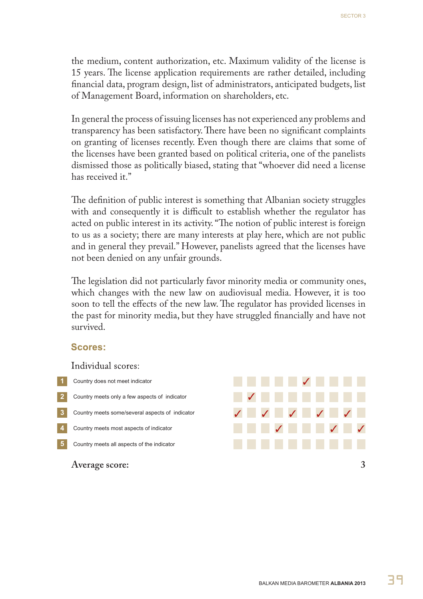the medium, content authorization, etc. Maximum validity of the license is 15 years. The license application requirements are rather detailed, including financial data, program design, list of administrators, anticipated budgets, list of Management Board, information on shareholders, etc.

In general the process of issuing licenses has not experienced any problems and transparency has been satisfactory. There have been no significant complaints on granting of licenses recently. Even though there are claims that some of the licenses have been granted based on political criteria, one of the panelists dismissed those as politically biased, stating that "whoever did need a license has received it."

The definition of public interest is something that Albanian society struggles with and consequently it is difficult to establish whether the regulator has acted on public interest in its activity. "The notion of public interest is foreign to us as a society; there are many interests at play here, which are not public and in general they prevail." However, panelists agreed that the licenses have not been denied on any unfair grounds.

The legislation did not particularly favor minority media or community ones, which changes with the new law on audiovisual media. However, it is too soon to tell the effects of the new law. The regulator has provided licenses in the past for minority media, but they have struggled financially and have not survived.

#### **Scores:**

- Country does not meet indicator
- Country meets only a few aspects of indicator **2**
- Country meets some/several aspects of indicator **3**
- Country meets most aspects of indicator **4**
- Country meets all aspects of the indicator **5**

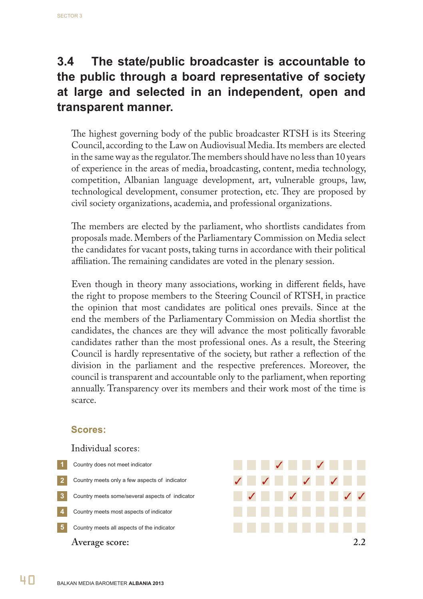## **3.4 The state/public broadcaster is accountable to the public through a board representative of society at large and selected in an independent, open and transparent manner.**

The highest governing body of the public broadcaster RTSH is its Steering Council, according to the Law on Audiovisual Media. Its members are elected in the same way as the regulator. The members should have no less than 10 years of experience in the areas of media, broadcasting, content, media technology, competition, Albanian language development, art, vulnerable groups, law, technological development, consumer protection, etc. They are proposed by civil society organizations, academia, and professional organizations.

The members are elected by the parliament, who shortlists candidates from proposals made. Members of the Parliamentary Commission on Media select the candidates for vacant posts, taking turns in accordance with their political affiliation. The remaining candidates are voted in the plenary session.

Even though in theory many associations, working in different fields, have the right to propose members to the Steering Council of RTSH, in practice the opinion that most candidates are political ones prevails. Since at the end the members of the Parliamentary Commission on Media shortlist the candidates, the chances are they will advance the most politically favorable candidates rather than the most professional ones. As a result, the Steering Council is hardly representative of the society, but rather a reflection of the division in the parliament and the respective preferences. Moreover, the council is transparent and accountable only to the parliament, when reporting annually. Transparency over its members and their work most of the time is scarce.

#### **Scores:**

- Country does not meet indicator **1**
- Country meets only a few aspects of indicator **2**
- Country meets some/several aspects of indicator **3**
- Country meets most aspects of indicator **4**
- Country meets all aspects of the indicator **5**

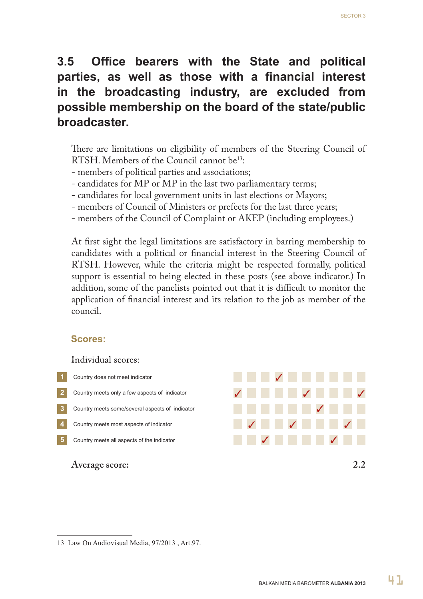**3.5 Office bearers with the State and political parties, as well as those with a financial interest in the broadcasting industry, are excluded from possible membership on the board of the state/public broadcaster.**

There are limitations on eligibility of members of the Steering Council of RTSH. Members of the Council cannot be<sup>13</sup>:

- members of political parties and associations;
- candidates for MP or MP in the last two parliamentary terms;
- candidates for local government units in last elections or Mayors;
- members of Council of Ministers or prefects for the last three years;
- members of the Council of Complaint or AKEP (including employees.)

At first sight the legal limitations are satisfactory in barring membership to candidates with a political or financial interest in the Steering Council of RTSH. However, while the criteria might be respected formally, political support is essential to being elected in these posts (see above indicator.) In addition, some of the panelists pointed out that it is difficult to monitor the application of financial interest and its relation to the job as member of the council.

#### **Scores:**



<sup>13</sup> Law On Audiovisual Media, 97/2013 , Art.97.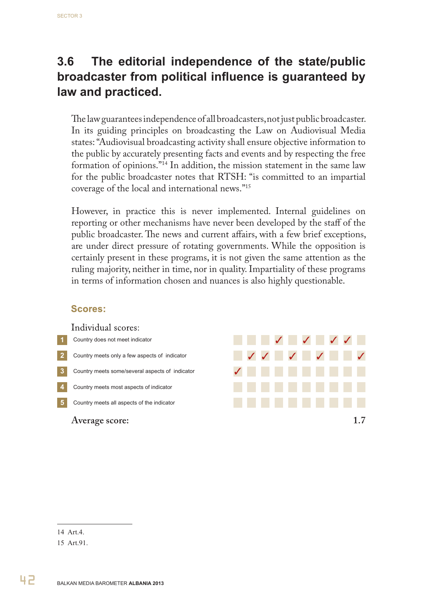## **3.6 The editorial independence of the state/public broadcaster from political influence is guaranteed by law and practiced.**

The law guarantees independence of all broadcasters, not just public broadcaster. In its guiding principles on broadcasting the Law on Audiovisual Media states: "Audiovisual broadcasting activity shall ensure objective information to the public by accurately presenting facts and events and by respecting the free formation of opinions."14 In addition, the mission statement in the same law for the public broadcaster notes that RTSH: "is committed to an impartial coverage of the local and international news."15

However, in practice this is never implemented. Internal guidelines on reporting or other mechanisms have never been developed by the staff of the public broadcaster. The news and current affairs, with a few brief exceptions, are under direct pressure of rotating governments. While the opposition is certainly present in these programs, it is not given the same attention as the ruling majority, neither in time, nor in quality. Impartiality of these programs in terms of information chosen and nuances is also highly questionable.

#### Scores:



<sup>14</sup> Art.4.

<sup>15</sup> Art.91.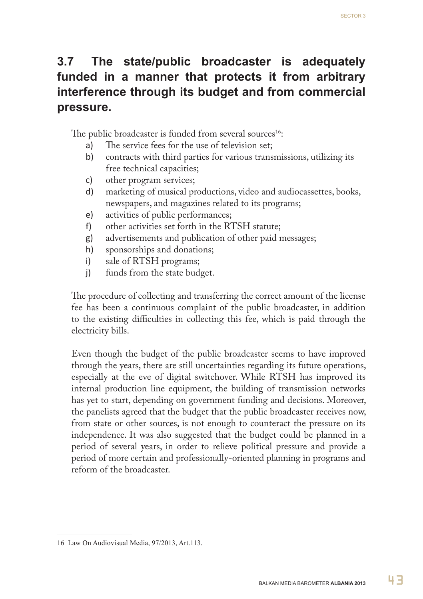## **3.7 The state/public broadcaster is adequately funded in a manner that protects it from arbitrary interference through its budget and from commercial pressure.**

The public broadcaster is funded from several sources<sup>16</sup>:

- a) The service fees for the use of television set;<br>b) contracts with third parties for various trans
- b) contracts with third parties for various transmissions, utilizing its free technical capacities;
- c) other program services;<br>d) marketing of musical pr
- marketing of musical productions, video and audiocassettes, books, newspapers, and magazines related to its programs;
- e) activities of public performances;<br>f) other activities set forth in the R'
- f) other activities set forth in the RTSH statute;<br>g) advertisements and publication of other paid r
- g) advertisements and publication of other paid messages;
- sponsorships and donations;
- i) sale of RTSH programs;<br>i) funds from the state bud
- funds from the state budget.

The procedure of collecting and transferring the correct amount of the license fee has been a continuous complaint of the public broadcaster, in addition to the existing difficulties in collecting this fee, which is paid through the electricity bills.

Even though the budget of the public broadcaster seems to have improved through the years, there are still uncertainties regarding its future operations, especially at the eve of digital switchover. While RTSH has improved its internal production line equipment, the building of transmission networks has yet to start, depending on government funding and decisions. Moreover, the panelists agreed that the budget that the public broadcaster receives now, from state or other sources, is not enough to counteract the pressure on its independence. It was also suggested that the budget could be planned in a period of several years, in order to relieve political pressure and provide a period of more certain and professionally-oriented planning in programs and reform of the broadcaster.

<sup>16</sup> Law On Audiovisual Media, 97/2013, Art.113.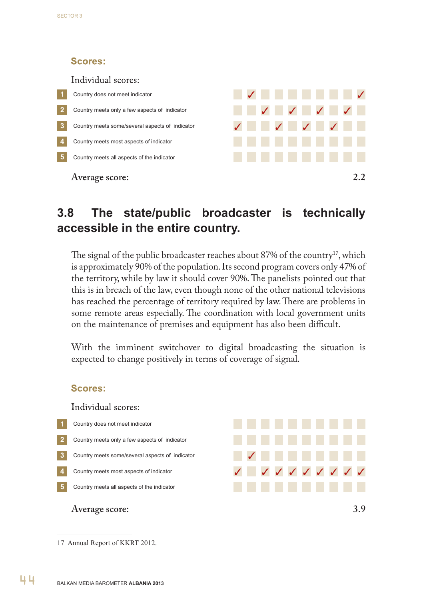#### Scores: Individual scores: Country does not meet indicator **1** $\mathcal{L}$ Country meets only a few aspects of indicator **2** Country meets some/several aspects of indicator **3** Country meets most aspects of indicator **4** Country meets all aspects of the indicator **5 Average score: 2.2**

#### **3.8 The state/public broadcaster is technically accessible in the entire country.**

The signal of the public broadcaster reaches about 87% of the country<sup>17</sup>, which is approximately 90% of the population. Its second program covers only 47% of the territory, while by law it should cover 90%. The panelists pointed out that this is in breach of the law, even though none of the other national televisions has reached the percentage of territory required by law. There are problems in some remote areas especially. The coordination with local government units on the maintenance of premises and equipment has also been difficult.

With the imminent switchover to digital broadcasting the situation is expected to change positively in terms of coverage of signal.



<sup>17</sup> Annual Report of KKRT 2012.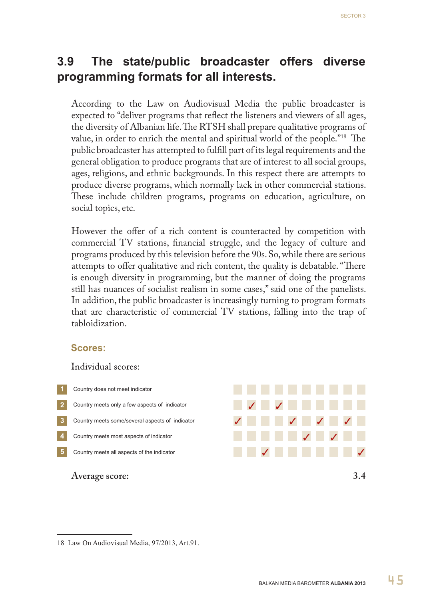## **3.9 The state/public broadcaster offers diverse programming formats for all interests.**

According to the Law on Audiovisual Media the public broadcaster is expected to "deliver programs that reflect the listeners and viewers of all ages, the diversity of Albanian life. The RTSH shall prepare qualitative programs of value, in order to enrich the mental and spiritual world of the people."18 The public broadcaster has attempted to fulfill part of its legal requirements and the general obligation to produce programs that are of interest to all social groups, ages, religions, and ethnic backgrounds. In this respect there are attempts to produce diverse programs, which normally lack in other commercial stations. These include children programs, programs on education, agriculture, on social topics, etc.

However the offer of a rich content is counteracted by competition with commercial TV stations, financial struggle, and the legacy of culture and programs produced by this television before the 90s. So, while there are serious attempts to offer qualitative and rich content, the quality is debatable. "There is enough diversity in programming, but the manner of doing the programs still has nuances of socialist realism in some cases," said one of the panelists. In addition, the public broadcaster is increasingly turning to program formats that are characteristic of commercial TV stations, falling into the trap of tabloidization.

#### **Scores:**

- Country does not meet indicator Country meets only a few aspects of indicator Country meets some/several aspects of indicator Country meets most aspects of indicator **2 3 4 1**
- Country meets all aspects of the indicator **5**



<sup>18</sup> Law On Audiovisual Media, 97/2013, Art.91.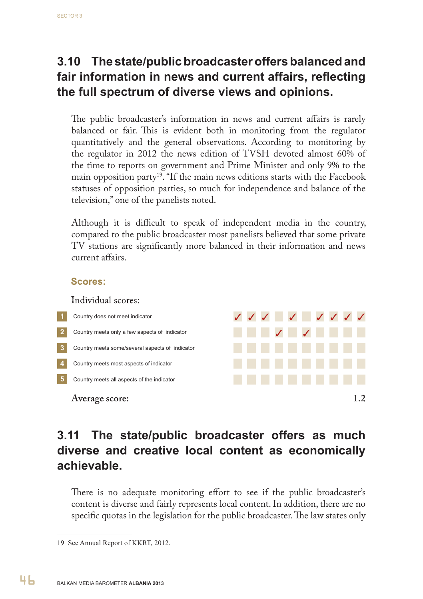## **3.10 The state/public broadcaster offers balanced and fair information in news and current affairs, reflecting the full spectrum of diverse views and opinions.**

The public broadcaster's information in news and current affairs is rarely balanced or fair. This is evident both in monitoring from the regulator quantitatively and the general observations. According to monitoring by the regulator in 2012 the news edition of TVSH devoted almost 60% of the time to reports on government and Prime Minister and only 9% to the main opposition party<sup>19</sup>. "If the main news editions starts with the Facebook statuses of opposition parties, so much for independence and balance of the television," one of the panelists noted.

Although it is difficult to speak of independent media in the country, compared to the public broadcaster most panelists believed that some private TV stations are significantly more balanced in their information and news current affairs.

#### **Scores:**

Individual scores:



## **3.11 The state/public broadcaster offers as much diverse and creative local content as economically achievable.**

There is no adequate monitoring effort to see if the public broadcaster's content is diverse and fairly represents local content. In addition, there are no specific quotas in the legislation for the public broadcaster. The law states only

<sup>19</sup> See Annual Report of KKRT, 2012.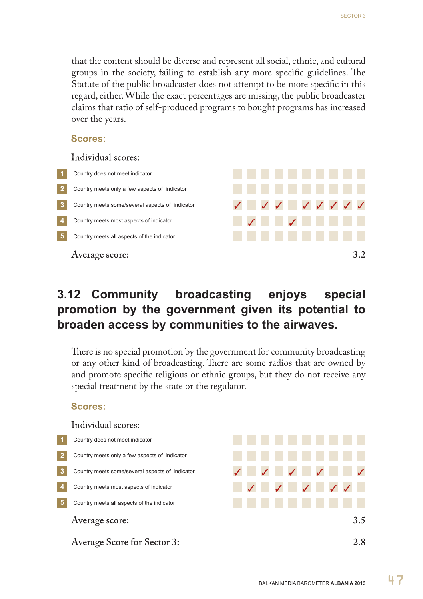that the content should be diverse and represent all social, ethnic, and cultural groups in the society, failing to establish any more specific guidelines. The Statute of the public broadcaster does not attempt to be more specific in this regard, either. While the exact percentages are missing, the public broadcaster claims that ratio of self-produced programs to bought programs has increased over the years.

#### Scores:



## **3.12 Community broadcasting enjoys special promotion by the government given its potential to broaden access by communities to the airwaves.**

There is no special promotion by the government for community broadcasting or any other kind of broadcasting. There are some radios that are owned by and promote specific religious or ethnic groups, but they do not receive any special treatment by the state or the regulator.

#### Scores:

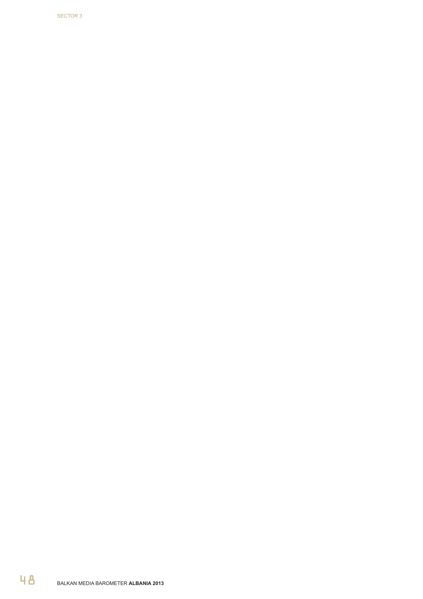SECTOR 3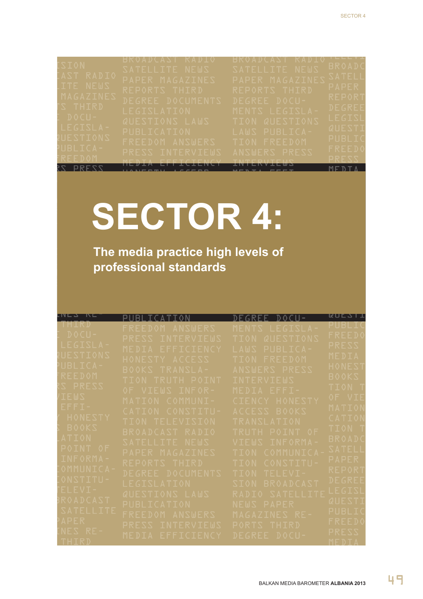|                  | DRVADLASI RADIV                                 | BRVADLASI NAD          |                    |
|------------------|-------------------------------------------------|------------------------|--------------------|
| SION -           | SATELLITE NEWS                                  | SATELLITE NEWS         | <b>BROAD</b>       |
| AST RADIO        | PAPER MAGAZINES                                 | PAPER MAGAZINES SATELL |                    |
| ITE NEWS         | REPORTS THIRD                                   | REPORTS THIRD          | <b>PAPER</b>       |
| MAGAZINES        | DEGREE DOCUMENTS                                | DEGREE DOCU-           | <b>REPORT</b>      |
| S THIRD          | <b>LEGISLATION</b>                              | MENTS LEGISLA          | <b>DEGREE</b>      |
| DOCU             | <b>QUESTIONS LAWS</b>                           | TION QUESTIONS         | LEGISL             |
| <b>LEGISLA</b>   |                                                 |                        | QUESTI             |
| <b>UESTIONS</b>  | PUBLICATION                                     | LAWS PUBLICA.          | PUBLI <sub>(</sub> |
| <b>UBLICA</b>    | FREEDOM ANSWERS                                 | TION FREEDOM           | FREED              |
| PEERAM<br>ᄾ⊏⊏ⅅ⋁∐ | PRESS INTERVIEWS<br>MENTA FEETATENAV INTERUIFUS | ANSWERS PRESS          | <b>PRESS</b>       |
| an nnrnn         | 11 L J J A C L I L L L L L I V L L              | -------------          |                    |

# **SECTOR 4:**

**The media practice high levels of professional standards**

| .NLS NL             | PHRITCATTON            | DEGREE DOCII-      | ᄧᄆᄃᅎᄀᄑ        |
|---------------------|------------------------|--------------------|---------------|
| <b>HTKD</b>         | <b>FREEDOM ANSWERS</b> | MENTS LEGISLA      | PUBLIC        |
| $DOCU$ –            | PRESS INTERVIEWS       | TION QUESTIONS     | <b>FREED0</b> |
| LEGISLA             | MEDIA EFFICIENCY       | LAWS PUBLICA       | <b>PRESS</b>  |
| UESTIONS            | <b>EXECUTE ACCESS</b>  | TION FREEDOM       | MEDIA         |
| UBLICA-             | BOOKS TRANSLA-         | ANSWERS PRESS      | HONEST        |
| REEDOM              | TION TRUTH POINT       | <b>INTERVIEWS</b>  | BOOKS         |
| S PRESS             | OF VIEWS INFOR-        | MEDIA EFFI-        | TION T        |
| IEWS                | MATION COMMUNI-        | CIENCY HONESTY     | OF VIE        |
| EFFI.               | CATION CONSTITU        | ACCESS BOOKS       | MATION        |
| HONESTY             | TION TELEVISION        | <b>TRANSLATION</b> | CATION        |
| BOOKS               | BROADCAST RADIO        | TRUTH POINT OF     | TION T        |
| <b>ATION</b>        | SATELLITE NEWS         | VIEWS INFORMA      | <b>BROADC</b> |
| POINT OF            | PAPER MAGAZINES        | TION COMMUNICA     | SATELL        |
| INFORMA             | REPORTS THIRD          | TION CONSTITU-     | PAPER         |
| OMMUNICA            | DEGREE DOCUMENTS       | TION TELEVI-       | <b>REPORT</b> |
| ONSTITU-            | LEGISLATION            | SION BROADCAST     | DEGREE        |
| ELEVI-              | QUESTIONS LAWS         | RADIO SATELLITI    | LEGISL        |
| ROADCAST            | PUBLICATION            | NEWS PAPER         | QUESTI        |
| SATELLITE           | FREEDOM ANSWERS        | MAGAZINES RE       | PUBLIC        |
| APER                | PRESS INTERVIEWS       | PORTS THIRD        | FREEDO        |
| NES RE <sub>'</sub> | MEDIA EFFICIENCY       | DEGREE DOCU-       | PRESS.        |
| THIRD               |                        |                    |               |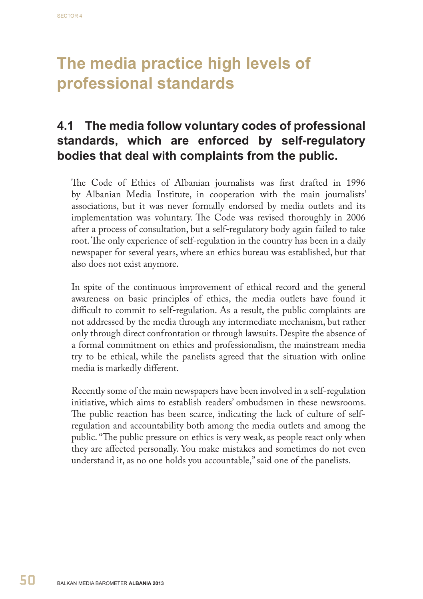# **The media practice high levels of professional standards**

## **4.1 The media follow voluntary codes of professional standards, which are enforced by self-regulatory bodies that deal with complaints from the public.**

The Code of Ethics of Albanian journalists was first drafted in 1996 by Albanian Media Institute, in cooperation with the main journalists' associations, but it was never formally endorsed by media outlets and its implementation was voluntary. The Code was revised thoroughly in 2006 after a process of consultation, but a self-regulatory body again failed to take root. The only experience of self-regulation in the country has been in a daily newspaper for several years, where an ethics bureau was established, but that also does not exist anymore.

In spite of the continuous improvement of ethical record and the general awareness on basic principles of ethics, the media outlets have found it difficult to commit to self-regulation. As a result, the public complaints are not addressed by the media through any intermediate mechanism, but rather only through direct confrontation or through lawsuits. Despite the absence of a formal commitment on ethics and professionalism, the mainstream media try to be ethical, while the panelists agreed that the situation with online media is markedly different.

Recently some of the main newspapers have been involved in a self-regulation initiative, which aims to establish readers' ombudsmen in these newsrooms. The public reaction has been scarce, indicating the lack of culture of selfregulation and accountability both among the media outlets and among the public. "The public pressure on ethics is very weak, as people react only when they are affected personally. You make mistakes and sometimes do not even understand it, as no one holds you accountable," said one of the panelists.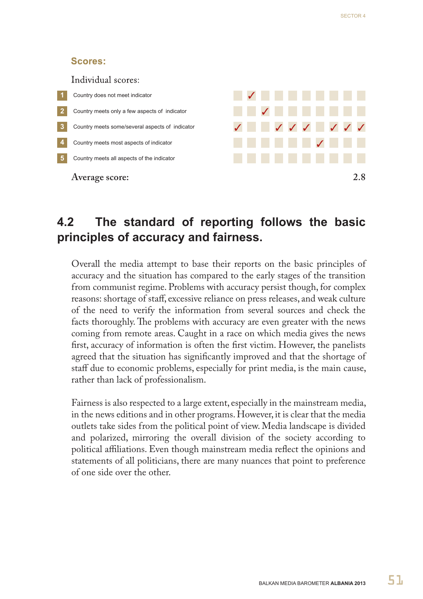

## **4.2 The standard of reporting follows the basic principles of accuracy and fairness.**

Overall the media attempt to base their reports on the basic principles of accuracy and the situation has compared to the early stages of the transition from communist regime. Problems with accuracy persist though, for complex reasons: shortage of staff, excessive reliance on press releases, and weak culture of the need to verify the information from several sources and check the facts thoroughly. The problems with accuracy are even greater with the news coming from remote areas. Caught in a race on which media gives the news first, accuracy of information is often the first victim. However, the panelists agreed that the situation has significantly improved and that the shortage of staff due to economic problems, especially for print media, is the main cause, rather than lack of professionalism.

Fairness is also respected to a large extent, especially in the mainstream media, in the news editions and in other programs. However, it is clear that the media outlets take sides from the political point of view. Media landscape is divided and polarized, mirroring the overall division of the society according to political affiliations. Even though mainstream media reflect the opinions and statements of all politicians, there are many nuances that point to preference of one side over the other.

51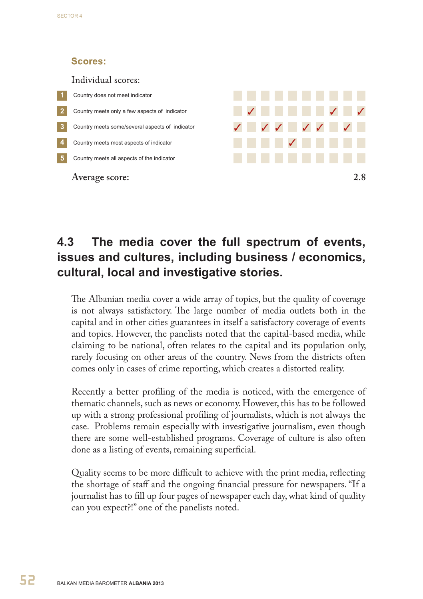#### Scores:

Individual scores:



## **4.3 The media cover the full spectrum of events, issues and cultures, including business / economics, cultural, local and investigative stories.**

The Albanian media cover a wide array of topics, but the quality of coverage is not always satisfactory. The large number of media outlets both in the capital and in other cities guarantees in itself a satisfactory coverage of events and topics. However, the panelists noted that the capital-based media, while claiming to be national, often relates to the capital and its population only, rarely focusing on other areas of the country. News from the districts often comes only in cases of crime reporting, which creates a distorted reality.

Recently a better profiling of the media is noticed, with the emergence of thematic channels, such as news or economy. However, this has to be followed up with a strong professional profiling of journalists, which is not always the case. Problems remain especially with investigative journalism, even though there are some well-established programs. Coverage of culture is also often done as a listing of events, remaining superficial.

Quality seems to be more difficult to achieve with the print media, reflecting the shortage of staff and the ongoing financial pressure for newspapers. "If a journalist has to fill up four pages of newspaper each day, what kind of quality can you expect?!" one of the panelists noted.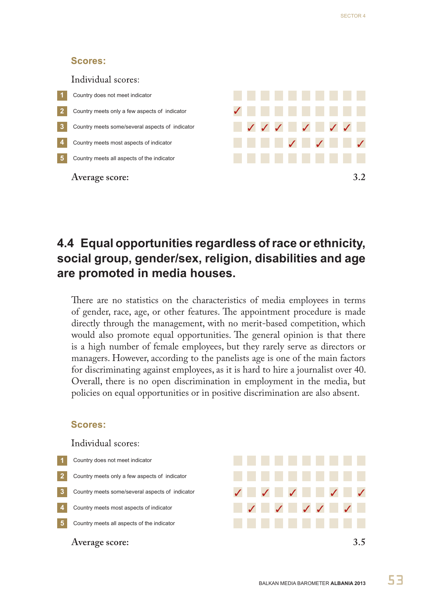

## **4.4 Equal opportunities regardless of race or ethnicity, social group, gender/sex, religion, disabilities and age are promoted in media houses.**

There are no statistics on the characteristics of media employees in terms of gender, race, age, or other features. The appointment procedure is made directly through the management, with no merit-based competition, which would also promote equal opportunities. The general opinion is that there is a high number of female employees, but they rarely serve as directors or managers. However, according to the panelists age is one of the main factors for discriminating against employees, as it is hard to hire a journalist over 40. Overall, there is no open discrimination in employment in the media, but policies on equal opportunities or in positive discrimination are also absent.

#### **Scores:**

#### Individual scores:

Country does not meet indicator Country meets only a few aspects of indicator Country meets some/several aspects of indicator Country meets most aspects of indicator Country meets all aspects of the indicator **2 3 4 5**



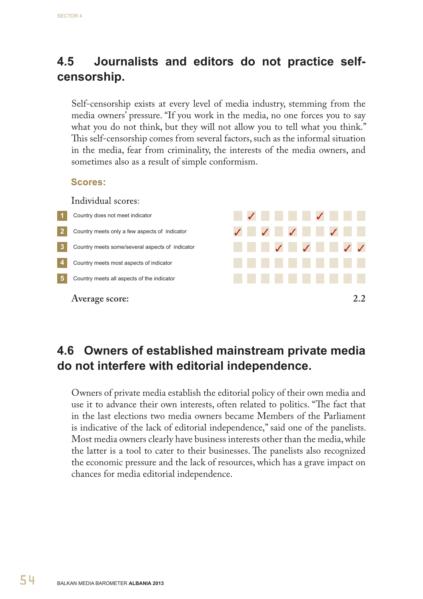## **4.5 Journalists and editors do not practice selfcensorship.**

Self-censorship exists at every level of media industry, stemming from the media owners' pressure. "If you work in the media, no one forces you to say what you do not think, but they will not allow you to tell what you think." This self-censorship comes from several factors, such as the informal situation in the media, fear from criminality, the interests of the media owners, and sometimes also as a result of simple conformism.

#### Scores:

Individual scores:



## **4.6 Owners of established mainstream private media do not interfere with editorial independence.**

Owners of private media establish the editorial policy of their own media and use it to advance their own interests, often related to politics. "The fact that in the last elections two media owners became Members of the Parliament is indicative of the lack of editorial independence," said one of the panelists. Most media owners clearly have business interests other than the media, while the latter is a tool to cater to their businesses. The panelists also recognized the economic pressure and the lack of resources, which has a grave impact on chances for media editorial independence.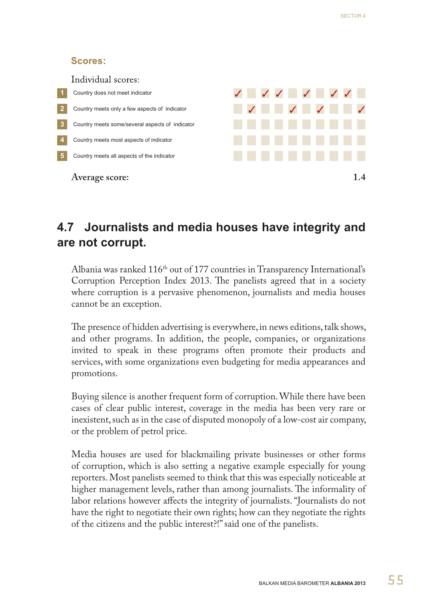

## **4.7 Journalists and media houses have integrity and are not corrupt.**

Albania was ranked 116<sup>th</sup> out of 177 countries in Transparency International's Corruption Perception Index 2013. The panelists agreed that in a society where corruption is a pervasive phenomenon, journalists and media houses cannot be an exception.

The presence of hidden advertising is everywhere, in news editions, talk shows, and other programs. In addition, the people, companies, or organizations invited to speak in these programs often promote their products and services, with some organizations even budgeting for media appearances and promotions.

Buying silence is another frequent form of corruption. While there have been cases of clear public interest, coverage in the media has been very rare or inexistent, such as in the case of disputed monopoly of a low-cost air company, or the problem of petrol price.

Media houses are used for blackmailing private businesses or other forms of corruption, which is also setting a negative example especially for young reporters. Most panelists seemed to think that this was especially noticeable at higher management levels, rather than among journalists. The informality of labor relations however affects the integrity of journalists. "Journalists do not have the right to negotiate their own rights; how can they negotiate the rights of the citizens and the public interest?!" said one of the panelists.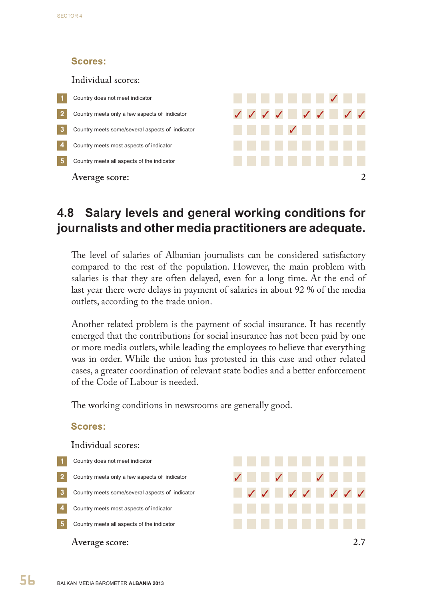#### Scores:

Individual scores:



## **4.8 Salary levels and general working conditions for journalists and other media practitioners are adequate.**

The level of salaries of Albanian journalists can be considered satisfactory compared to the rest of the population. However, the main problem with salaries is that they are often delayed, even for a long time. At the end of last year there were delays in payment of salaries in about 92 % of the media outlets, according to the trade union.

Another related problem is the payment of social insurance. It has recently emerged that the contributions for social insurance has not been paid by one or more media outlets, while leading the employees to believe that everything was in order. While the union has protested in this case and other related cases, a greater coordination of relevant state bodies and a better enforcement of the Code of Labour is needed.

The working conditions in newsrooms are generally good.

#### Scores:

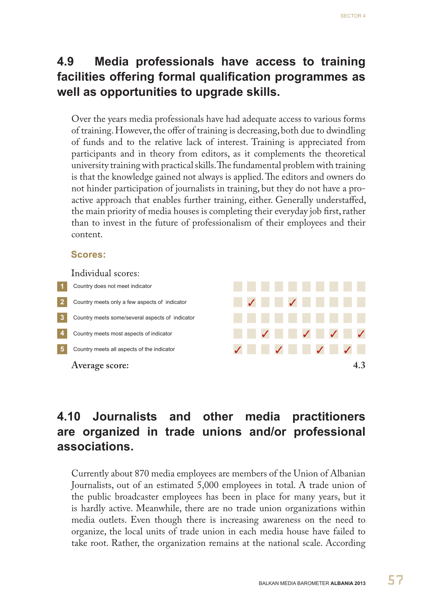## **4.9 Media professionals have access to training facilities offering formal qualification programmes as well as opportunities to upgrade skills.**

Over the years media professionals have had adequate access to various forms of training. However, the offer of training is decreasing, both due to dwindling of funds and to the relative lack of interest. Training is appreciated from participants and in theory from editors, as it complements the theoretical university training with practical skills. The fundamental problem with training is that the knowledge gained not always is applied. The editors and owners do not hinder participation of journalists in training, but they do not have a proactive approach that enables further training, either. Generally understaffed, the main priority of media houses is completing their everyday job first, rather than to invest in the future of professionalism of their employees and their content.

#### **Scores:**



## **4.10 Journalists and other media practitioners are organized in trade unions and/or professional associations.**

Currently about 870 media employees are members of the Union of Albanian Journalists, out of an estimated 5,000 employees in total. A trade union of the public broadcaster employees has been in place for many years, but it is hardly active. Meanwhile, there are no trade union organizations within media outlets. Even though there is increasing awareness on the need to organize, the local units of trade union in each media house have failed to take root. Rather, the organization remains at the national scale. According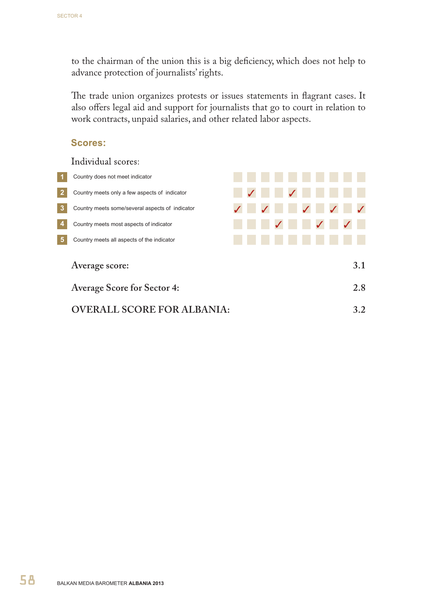to the chairman of the union this is a big deficiency, which does not help to advance protection of journalists' rights.

The trade union organizes protests or issues statements in flagrant cases. It also offers legal aid and support for journalists that go to court in relation to work contracts, unpaid salaries, and other related labor aspects.

#### Scores:

Individual scores: Country does not meet indicator **1**Country meets only a few aspects of indicator **2**  $\overline{\phantom{a}}$ Country meets some/several aspects of indicator **3**  $\overline{\mathscr{S}}$ Country meets most aspects of indicator **4** Country meets all aspects of the indicator **5** Average score: 3.1 **Average Score for Sector 4: 2.8 OVERALL SCORE FOR ALBANIA: 3.2**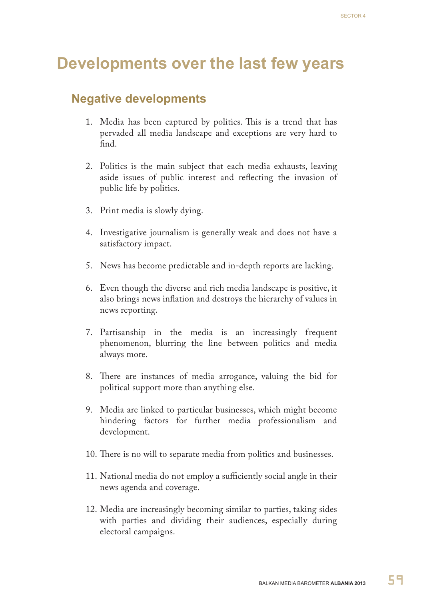## **Developments over the last few years**

#### **Negative developments**

- 1. Media has been captured by politics. This is a trend that has pervaded all media landscape and exceptions are very hard to find.
- 2. Politics is the main subject that each media exhausts, leaving aside issues of public interest and reflecting the invasion of public life by politics.
- 3. Print media is slowly dying.
- 4. Investigative journalism is generally weak and does not have a satisfactory impact.
- 5. News has become predictable and in-depth reports are lacking.
- 6. Even though the diverse and rich media landscape is positive, it also brings news inflation and destroys the hierarchy of values in news reporting.
- 7. Partisanship in the media is an increasingly frequent phenomenon, blurring the line between politics and media always more.
- 8. There are instances of media arrogance, valuing the bid for political support more than anything else.
- 9. Media are linked to particular businesses, which might become hindering factors for further media professionalism and development.
- 10. There is no will to separate media from politics and businesses.
- 11. National media do not employ a sufficiently social angle in their news agenda and coverage.
- 12. Media are increasingly becoming similar to parties, taking sides with parties and dividing their audiences, especially during electoral campaigns.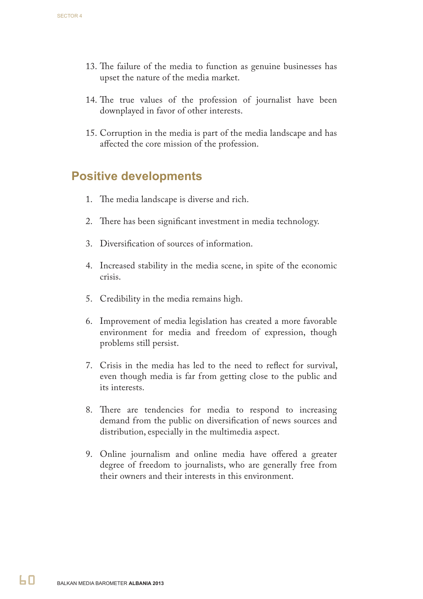- 13. The failure of the media to function as genuine businesses has upset the nature of the media market.
- 14. The true values of the profession of journalist have been downplayed in favor of other interests.
- 15. Corruption in the media is part of the media landscape and has affected the core mission of the profession.

#### **Positive developments**

- 1. The media landscape is diverse and rich.
- 2. There has been significant investment in media technology.
- 3. Diversification of sources of information.
- 4. Increased stability in the media scene, in spite of the economic crisis.
- 5. Credibility in the media remains high.
- 6. Improvement of media legislation has created a more favorable environment for media and freedom of expression, though problems still persist.
- 7. Crisis in the media has led to the need to reflect for survival, even though media is far from getting close to the public and its interests.
- 8. There are tendencies for media to respond to increasing demand from the public on diversification of news sources and distribution, especially in the multimedia aspect.
- 9. Online journalism and online media have offered a greater degree of freedom to journalists, who are generally free from their owners and their interests in this environment.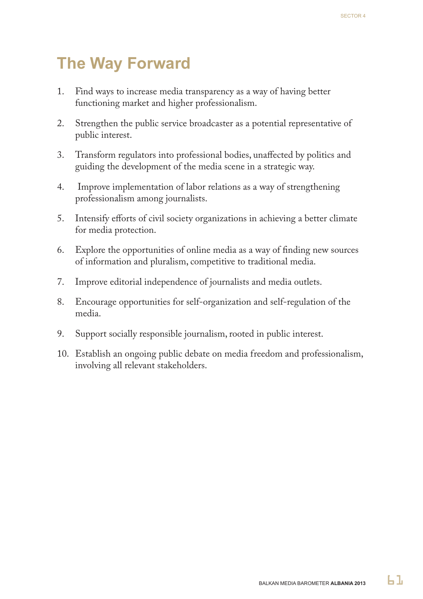# **The Way Forward**

- 1. Find ways to increase media transparency as a way of having better functioning market and higher professionalism.
- 2. Strengthen the public service broadcaster as a potential representative of public interest.
- 3. Transform regulators into professional bodies, unaffected by politics and guiding the development of the media scene in a strategic way.
- 4. Improve implementation of labor relations as a way of strengthening professionalism among journalists.
- 5. Intensify efforts of civil society organizations in achieving a better climate for media protection.
- 6. Explore the opportunities of online media as a way of finding new sources of information and pluralism, competitive to traditional media.
- 7. Improve editorial independence of journalists and media outlets.
- 8. Encourage opportunities for self-organization and self-regulation of the media.
- 9. Support socially responsible journalism, rooted in public interest.
- 10. Establish an ongoing public debate on media freedom and professionalism, involving all relevant stakeholders.

61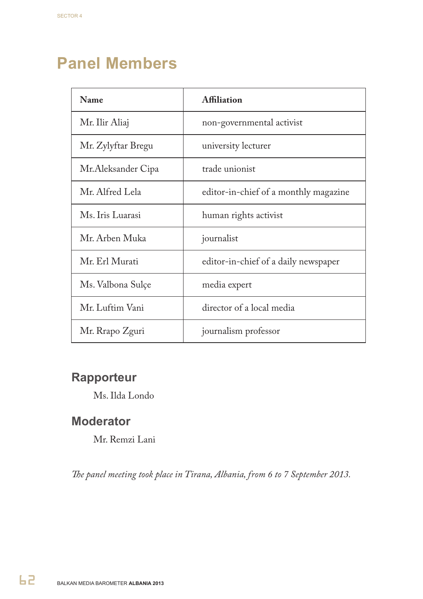## **Panel Members**

| Name                | <b>Affiliation</b>                    |
|---------------------|---------------------------------------|
| Mr. Ilir Aliaj      | non-governmental activist             |
| Mr. Zylyftar Bregu  | university lecturer                   |
| Mr. Aleksander Cipa | trade unionist                        |
| Mr. Alfred Lela     | editor-in-chief of a monthly magazine |
| Ms. Iris Luarasi    | human rights activist                 |
| Mr. Arben Muka      | journalist                            |
| Mr. Erl Murati      | editor-in-chief of a daily newspaper  |
| Ms. Valbona Sulçe   | media expert                          |
| Mr. Luftim Vani     | director of a local media             |
| Mr. Rrapo Zguri     | journalism professor                  |

## **Rapporteur**

Ms. Ilda Londo

## **Moderator**

Mr. Remzi Lani

*The panel meeting took place in Tirana, Albania, from 6 to 7 September 2013.*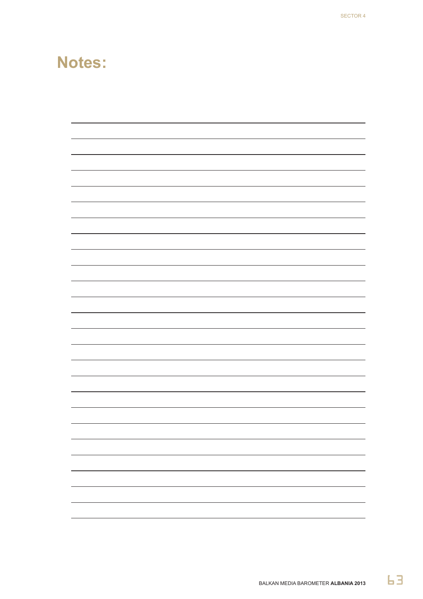## **Notes:**